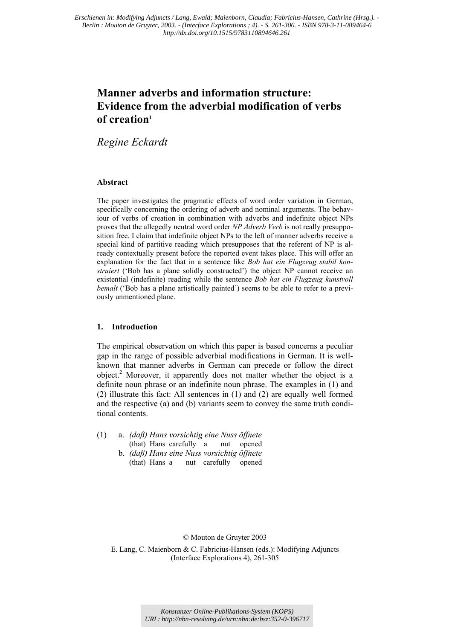## **Manner adverbs and information structure: Evidence from the adverbial modification of verbs of creation1**

*Regine Eckardt* 

## **Abstract**

The paper investigates the pragmatic effects of word order variation in German, specifically concerning the ordering of adverb and nominal arguments. The behaviour of verbs of creation in combination with adverbs and indefinite object NPs proves that the allegedly neutral word order *NP Adverb Verb* is not really presupposition free. I claim that indefinite object NPs to the left of manner adverbs receive a special kind of partitive reading which presupposes that the referent of NP is already contextually present before the reported event takes place. This will offer an explanation for the fact that in a sentence like *Bob hat ein Flugzeug stabil konstruiert* ('Bob has a plane solidly constructed') the object NP cannot receive an existential (indefinite) reading while the sentence *Bob hat ein Flugzeug kunstvoll bemalt* ('Bob has a plane artistically painted') seems to be able to refer to a previously unmentioned plane.

## **1. Introduction**

The empirical observation on which this paper is based concerns a peculiar gap in the range of possible adverbial modifications in German. It is wellknown that manner adverbs in German can precede or follow the direct object.<sup>2</sup> Moreover, it apparently does not matter whether the object is a definite noun phrase or an indefinite noun phrase. The examples in (1) and (2) illustrate this fact: All sentences in (1) and (2) are equally well formed and the respective (a) and (b) variants seem to convey the same truth conditional contents.

- (1) a. *(daß) Hans vorsichtig eine Nuss öffnete* (that) Hans carefully a nut opened b. *(daß) Hans eine Nuss vorsichtig öffnete*
	- (that) Hans a nut carefully opened

© Mouton de Gruyter 2003

E. Lang, C. Maienborn & C. Fabricius-Hansen (eds.): Modifying Adjuncts (Interface Explorations 4), 261-305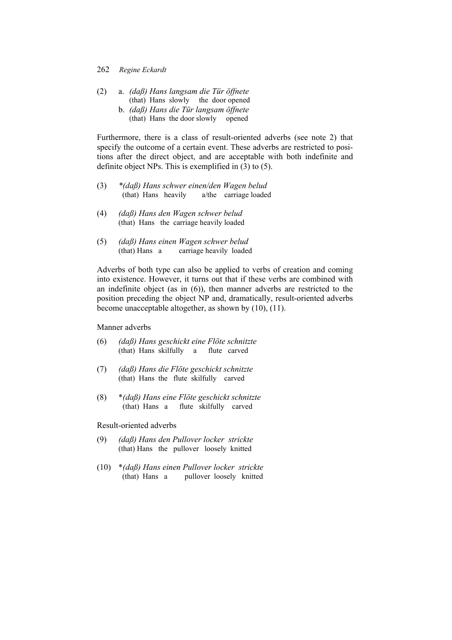(2) a. *(daß) Hans langsam die Tür öffnete* (that) Hans slowly the door opened b. *(daß) Hans die Tür langsam öffnete* (that) Hans the door slowly opened

Furthermore, there is a class of result-oriented adverbs (see note 2) that specify the outcome of a certain event. These adverbs are restricted to positions after the direct object, and are acceptable with both indefinite and definite object NPs. This is exemplified in (3) to (5).

- (3) *\*(daß) Hans schwer einen/den Wagen belud* (that) Hans heavily a/the carriage loaded
- (4) *(daß) Hans den Wagen schwer belud* (that) Hans the carriage heavily loaded
- (5) *(daß) Hans einen Wagen schwer belud* (that) Hans a carriage heavily loaded

Adverbs of both type can also be applied to verbs of creation and coming into existence. However, it turns out that if these verbs are combined with an indefinite object (as in (6)), then manner adverbs are restricted to the position preceding the object NP and, dramatically, result-oriented adverbs become unacceptable altogether, as shown by (10), (11).

Manner adverbs

- (6) *(daß) Hans geschickt eine Flöte schnitzte* (that) Hans skilfully a flute carved
- (7) *(daß) Hans die Flöte geschickt schnitzte* (that) Hans the flute skilfully carved
- (8) \**(daß) Hans eine Flöte geschickt schnitzte* (that) Hans a flute skilfully carved

Result-oriented adverbs

- (9) *(daß) Hans den Pullover locker strickte* (that) Hans the pullover loosely knitted
- (10) \**(daß) Hans einen Pullover locker strickte* (that) Hans a pullover loosely knitted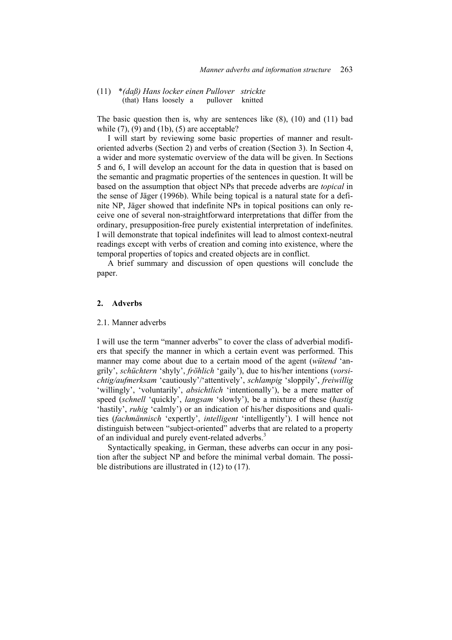|  |                       | $(11)$ *(daß) Hans locker einen Pullover strickte |  |
|--|-----------------------|---------------------------------------------------|--|
|  | (that) Hans loosely a | pullover knitted                                  |  |

The basic question then is, why are sentences like (8), (10) and (11) bad while  $(7)$ ,  $(9)$  and  $(1b)$ ,  $(5)$  are acceptable?

 I will start by reviewing some basic properties of manner and resultoriented adverbs (Section 2) and verbs of creation (Section 3). In Section 4, a wider and more systematic overview of the data will be given. In Sections 5 and 6, I will develop an account for the data in question that is based on the semantic and pragmatic properties of the sentences in question. It will be based on the assumption that object NPs that precede adverbs are *topical* in the sense of Jäger (1996b). While being topical is a natural state for a definite NP, Jäger showed that indefinite NPs in topical positions can only receive one of several non-straightforward interpretations that differ from the ordinary, presupposition-free purely existential interpretation of indefinites. I will demonstrate that topical indefinites will lead to almost context-neutral readings except with verbs of creation and coming into existence, where the temporal properties of topics and created objects are in conflict.

 A brief summary and discussion of open questions will conclude the paper.

## **2. Adverbs**

#### 2.1. Manner adverbs

I will use the term "manner adverbs" to cover the class of adverbial modifiers that specify the manner in which a certain event was performed. This manner may come about due to a certain mood of the agent (*wütend* 'angrily', *schüchtern* 'shyly', *fröhlich* 'gaily'), due to his/her intentions (*vorsichtig/aufmerksam* 'cautiously'/'attentively', *schlampig* 'sloppily', *freiwillig* 'willingly', 'voluntarily', *absichtlich* 'intentionally'), be a mere matter of speed (*schnell* 'quickly', *langsam* 'slowly'), be a mixture of these (*hastig*  'hastily', *ruhig* 'calmly') or an indication of his/her dispositions and qualities (*fachmännisch* 'expertly', *intelligent* 'intelligently'). I will hence not distinguish between "subject-oriented" adverbs that are related to a property of an individual and purely event-related adverbs.<sup>3</sup>

 Syntactically speaking, in German, these adverbs can occur in any position after the subject NP and before the minimal verbal domain. The possible distributions are illustrated in (12) to (17).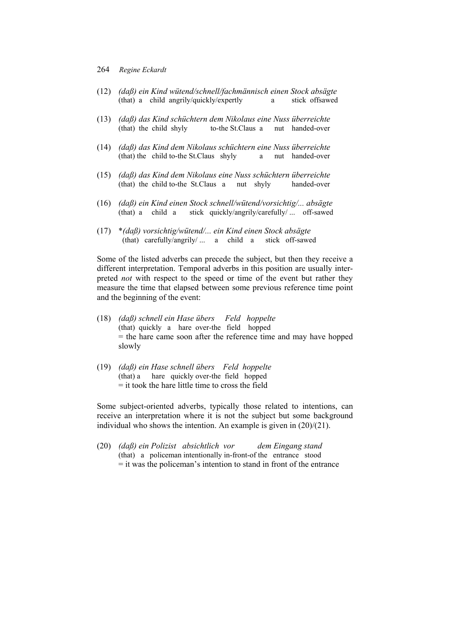- 264 *Regine Eckardt*
- (12) *(daß) ein Kind wütend/schnell/fachmännisch einen Stock absägte* (that) a child angrily/quickly/expertly a stick offsawed
- (13) *(daß) das Kind schüchtern dem Nikolaus eine Nuss überreichte* (that) the child shyly to-the St.Claus a nut handed-over
- (14) *(daß) das Kind dem Nikolaus schüchtern eine Nuss überreichte* (that) the child to-the St.Claus shyly a nut handed-over
- (15) *(daß) das Kind dem Nikolaus eine Nuss schüchtern überreichte* (that) the child to-the St.Claus a nut shyly handed-over
- (16) *(daß) ein Kind einen Stock schnell/wütend/vorsichtig/... absägte* (that) a child a stick quickly/angrily/carefully/ ... off-sawed
- (17) \**(daß) vorsichtig/wütend/... ein Kind einen Stock absägte* (that) carefully/angrily/ ... a child a stick off-sawed

Some of the listed adverbs can precede the subject, but then they receive a different interpretation. Temporal adverbs in this position are usually interpreted *not* with respect to the speed or time of the event but rather they measure the time that elapsed between some previous reference time point and the beginning of the event:

- (18) *(daß) schnell ein Hase übers Feld hoppelte* (that) quickly a hare over-the field hopped = the hare came soon after the reference time and may have hopped slowly
- (19) *(daß) ein Hase schnell übers Feld hoppelte* (that) a hare quickly over-the field hopped = it took the hare little time to cross the field

Some subject-oriented adverbs, typically those related to intentions, can receive an interpretation where it is not the subject but some background individual who shows the intention. An example is given in (20)/(21).

(20) *(daß) ein Polizist absichtlich vor dem Eingang stand* (that) a policeman intentionally in-front-of the entrance stood  $=$  it was the policeman's intention to stand in front of the entrance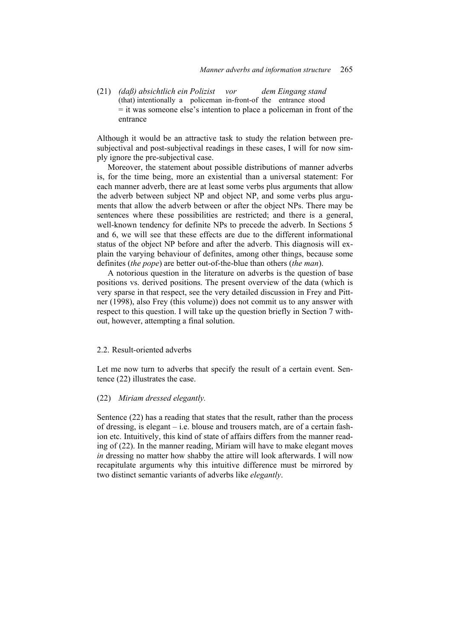(21) *(daß) absichtlich ein Polizist vor dem Eingang stand* (that) intentionally a policeman in-front-of the entrance stood = it was someone else's intention to place a policeman in front of the entrance

Although it would be an attractive task to study the relation between presubjectival and post-subjectival readings in these cases, I will for now simply ignore the pre-subjectival case.

 Moreover, the statement about possible distributions of manner adverbs is, for the time being, more an existential than a universal statement: For each manner adverb, there are at least some verbs plus arguments that allow the adverb between subject NP and object NP, and some verbs plus arguments that allow the adverb between or after the object NPs. There may be sentences where these possibilities are restricted; and there is a general, well-known tendency for definite NPs to precede the adverb. In Sections 5 and 6, we will see that these effects are due to the different informational status of the object NP before and after the adverb. This diagnosis will explain the varying behaviour of definites, among other things, because some definites (*the pope*) are better out-of-the-blue than others (*the man*).

 A notorious question in the literature on adverbs is the question of base positions vs. derived positions. The present overview of the data (which is very sparse in that respect, see the very detailed discussion in Frey and Pittner (1998), also Frey (this volume)) does not commit us to any answer with respect to this question. I will take up the question briefly in Section 7 without, however, attempting a final solution.

#### 2.2. Result-oriented adverbs

Let me now turn to adverbs that specify the result of a certain event. Sentence (22) illustrates the case.

#### (22) *Miriam dressed elegantly.*

Sentence (22) has a reading that states that the result, rather than the process of dressing, is elegant – i.e. blouse and trousers match, are of a certain fashion etc. Intuitively, this kind of state of affairs differs from the manner reading of (22). In the manner reading, Miriam will have to make elegant moves *in* dressing no matter how shabby the attire will look afterwards. I will now recapitulate arguments why this intuitive difference must be mirrored by two distinct semantic variants of adverbs like *elegantly*.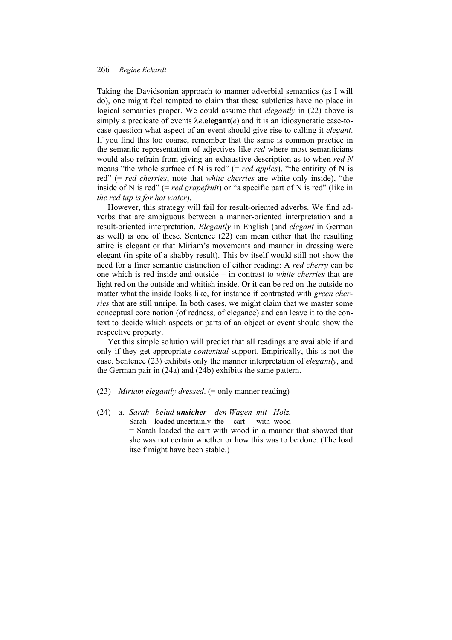Taking the Davidsonian approach to manner adverbial semantics (as I will do), one might feel tempted to claim that these subtleties have no place in logical semantics proper. We could assume that *elegantly* in (22) above is simply a predicate of events λ*e*.**elegant**(*e*) and it is an idiosyncratic case-tocase question what aspect of an event should give rise to calling it *elegant*. If you find this too coarse, remember that the same is common practice in the semantic representation of adjectives like *red* where most semanticians would also refrain from giving an exhaustive description as to when *red N* means "the whole surface of N is red" (= *red apples*), "the entirity of N is red" (= *red cherries*; note that *white cherries* are white only inside), "the inside of N is red" (= *red grapefruit*) or "a specific part of N is red" (like in *the red tap is for hot water*).

 However, this strategy will fail for result-oriented adverbs. We find adverbs that are ambiguous between a manner-oriented interpretation and a result-oriented interpretation. *Elegantly* in English (and *elegant* in German as well) is one of these. Sentence (22) can mean either that the resulting attire is elegant or that Miriam's movements and manner in dressing were elegant (in spite of a shabby result). This by itself would still not show the need for a finer semantic distinction of either reading: A *red cherry* can be one which is red inside and outside – in contrast to *white cherries* that are light red on the outside and whitish inside. Or it can be red on the outside no matter what the inside looks like, for instance if contrasted with *green cherries* that are still unripe. In both cases, we might claim that we master some conceptual core notion (of redness, of elegance) and can leave it to the context to decide which aspects or parts of an object or event should show the respective property.

 Yet this simple solution will predict that all readings are available if and only if they get appropriate *contextual* support. Empirically, this is not the case. Sentence (23) exhibits only the manner interpretation of *elegantly*, and the German pair in (24a) and (24b) exhibits the same pattern.

- (23) *Miriam elegantly dressed*. (= only manner reading)
- (24) a. *Sarah belud unsicher den Wagen mit Holz.* Sarah loaded uncertainly the cart with wood = Sarah loaded the cart with wood in a manner that showed that she was not certain whether or how this was to be done. (The load itself might have been stable.)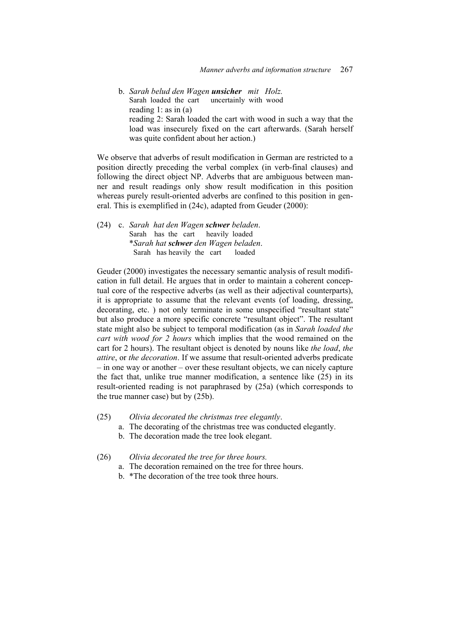b. *Sarah belud den Wagen unsicher mit Holz.* Sarah loaded the cart uncertainly with wood reading 1: as in (a) reading 2: Sarah loaded the cart with wood in such a way that the load was insecurely fixed on the cart afterwards. (Sarah herself was quite confident about her action.)

We observe that adverbs of result modification in German are restricted to a position directly preceding the verbal complex (in verb-final clauses) and following the direct object NP. Adverbs that are ambiguous between manner and result readings only show result modification in this position whereas purely result-oriented adverbs are confined to this position in general. This is exemplified in (24c), adapted from Geuder (2000):

(24) c. *Sarah hat den Wagen schwer beladen*. Sarah has the cart heavily loaded \**Sarah hat schwer den Wagen beladen*. Sarah has heavily the cart loaded

Geuder (2000) investigates the necessary semantic analysis of result modification in full detail. He argues that in order to maintain a coherent conceptual core of the respective adverbs (as well as their adjectival counterparts), it is appropriate to assume that the relevant events (of loading, dressing, decorating, etc. ) not only terminate in some unspecified "resultant state" but also produce a more specific concrete "resultant object". The resultant state might also be subject to temporal modification (as in *Sarah loaded the cart with wood for 2 hours* which implies that the wood remained on the cart for 2 hours). The resultant object is denoted by nouns like *the load*, *the attire*, or *the decoration*. If we assume that result-oriented adverbs predicate – in one way or another – over these resultant objects, we can nicely capture the fact that, unlike true manner modification, a sentence like (25) in its result-oriented reading is not paraphrased by (25a) (which corresponds to the true manner case) but by (25b).

- (25) *Olivia decorated the christmas tree elegantly*.
	- a. The decorating of the christmas tree was conducted elegantly.
	- b. The decoration made the tree look elegant.
- (26) *Olivia decorated the tree for three hours.*
	- a. The decoration remained on the tree for three hours.
	- b. \*The decoration of the tree took three hours.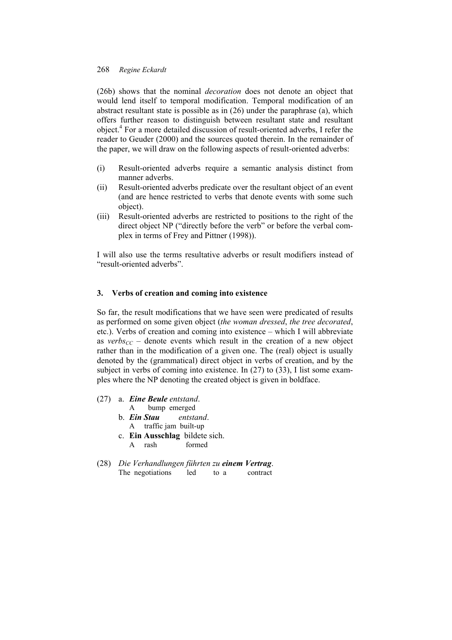(26b) shows that the nominal *decoration* does not denote an object that would lend itself to temporal modification. Temporal modification of an abstract resultant state is possible as in (26) under the paraphrase (a), which offers further reason to distinguish between resultant state and resultant object.<sup>4</sup> For a more detailed discussion of result-oriented adverbs, I refer the reader to Geuder (2000) and the sources quoted therein. In the remainder of the paper, we will draw on the following aspects of result-oriented adverbs:

- (i) Result-oriented adverbs require a semantic analysis distinct from manner adverbs.
- (ii) Result-oriented adverbs predicate over the resultant object of an event (and are hence restricted to verbs that denote events with some such object).
- (iii) Result-oriented adverbs are restricted to positions to the right of the direct object NP ("directly before the verb" or before the verbal complex in terms of Frey and Pittner (1998)).

I will also use the terms resultative adverbs or result modifiers instead of "result-oriented adverbs".

## **3. Verbs of creation and coming into existence**

So far, the result modifications that we have seen were predicated of results as performed on some given object (*the woman dressed*, *the tree decorated*, etc.). Verbs of creation and coming into existence – which I will abbreviate as *verbs<sub>CC</sub>* – denote events which result in the creation of a new object rather than in the modification of a given one. The (real) object is usually denoted by the (grammatical) direct object in verbs of creation, and by the subject in verbs of coming into existence. In (27) to (33), I list some examples where the NP denoting the created object is given in boldface.

- (27) a. *Eine Beule entstand*.
	- A bump emerged
	- b. *Ein Stau entstand*. A traffic jam built-up
	- c. **Ein Ausschlag** bildete sich. A rash formed
- (28) *Die Verhandlungen führten zu einem Vertrag*. The negotiations led to a contract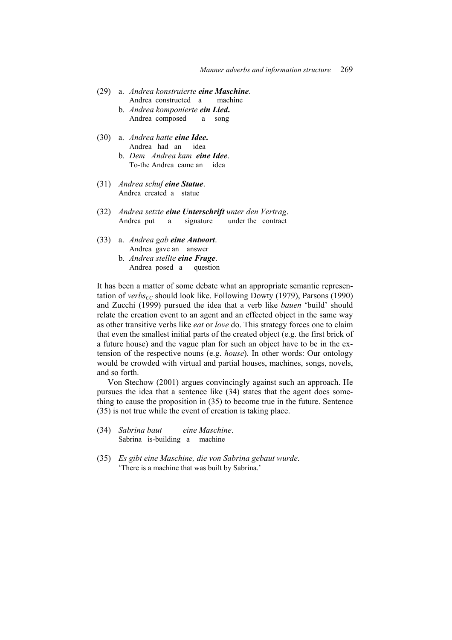- (29) a. *Andrea konstruierte eine Maschine.*  Andrea constructed a machine
	- b. *Andrea komponierte ein Lied***.**  Andrea composed a song
- (30) a. *Andrea hatte eine Idee***.** Andrea had an idea b. *Dem Andrea kam eine Idee*.
	- To-the Andrea came an idea
- (31) *Andrea schuf eine Statue*. Andrea created a statue
- (32) *Andrea setzte eine Unterschrift unter den Vertrag*. Andrea put a signature under the contract
- (33) a. *Andrea gab eine Antwort*. Andrea gave an answer
	- b. *Andrea stellte eine Frage*. Andrea posed a question

It has been a matter of some debate what an appropriate semantic representation of *verbs<sub>CC</sub>* should look like. Following Dowty (1979), Parsons (1990) and Zucchi (1999) pursued the idea that a verb like *bauen* 'build' should relate the creation event to an agent and an effected object in the same way as other transitive verbs like *eat* or *love* do. This strategy forces one to claim that even the smallest initial parts of the created object (e.g. the first brick of a future house) and the vague plan for such an object have to be in the extension of the respective nouns (e.g. *house*). In other words: Our ontology would be crowded with virtual and partial houses, machines, songs, novels, and so forth.

 Von Stechow (2001) argues convincingly against such an approach. He pursues the idea that a sentence like (34) states that the agent does something to cause the proposition in (35) to become true in the future. Sentence (35) is not true while the event of creation is taking place.

- (34) *Sabrina baut eine Maschine*. Sabrina is-building a machine
- (35) *Es gibt eine Maschine, die von Sabrina gebaut wurde*. 'There is a machine that was built by Sabrina.'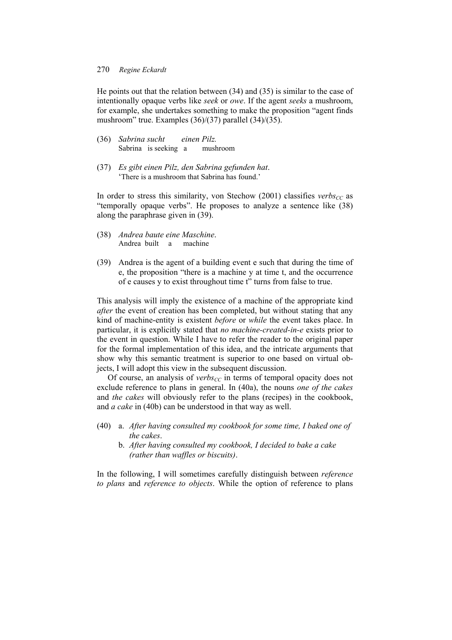He points out that the relation between (34) and (35) is similar to the case of intentionally opaque verbs like *seek* or *owe*. If the agent *seeks* a mushroom, for example, she undertakes something to make the proposition "agent finds mushroom" true. Examples (36)/(37) parallel (34)/(35).

- (36) *Sabrina sucht einen Pilz.* Sabrina is seeking a mushroom
- (37) *Es gibt einen Pilz, den Sabrina gefunden hat*. 'There is a mushroom that Sabrina has found.'

In order to stress this similarity, von Stechow (2001) classifies  $verbs_{CC}$  as "temporally opaque verbs". He proposes to analyze a sentence like (38) along the paraphrase given in (39).

- (38) *Andrea baute eine Maschine*. Andrea built a machine
- (39) Andrea is the agent of a building event e such that during the time of e, the proposition "there is a machine y at time t, and the occurrence of e causes y to exist throughout time t" turns from false to true.

This analysis will imply the existence of a machine of the appropriate kind *after* the event of creation has been completed, but without stating that any kind of machine-entity is existent *before* or *while* the event takes place. In particular, it is explicitly stated that *no machine-created-in-e* exists prior to the event in question. While I have to refer the reader to the original paper for the formal implementation of this idea, and the intricate arguments that show why this semantic treatment is superior to one based on virtual objects, I will adopt this view in the subsequent discussion.

Of course, an analysis of  $verbs_{CC}$  in terms of temporal opacity does not exclude reference to plans in general. In (40a), the nouns *one of the cakes* and *the cakes* will obviously refer to the plans (recipes) in the cookbook, and *a cake* in (40b) can be understood in that way as well.

- (40) a. *After having consulted my cookbook for some time, I baked one of the cakes*.
	- b. *After having consulted my cookbook, I decided to bake a cake (rather than waffles or biscuits)*.

In the following, I will sometimes carefully distinguish between *reference to plans* and *reference to objects*. While the option of reference to plans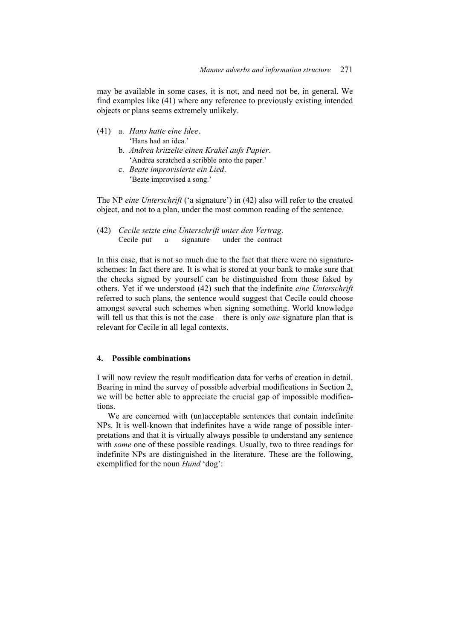may be available in some cases, it is not, and need not be, in general. We find examples like (41) where any reference to previously existing intended objects or plans seems extremely unlikely.

- (41) a. *Hans hatte eine Idee*.
	- 'Hans had an idea.'
	- b. *Andrea kritzelte einen Krakel aufs Papier*. 'Andrea scratched a scribble onto the paper.'
	- c. *Beate improvisierte ein Lied*. 'Beate improvised a song.'

The NP *eine Unterschrift* ('a signature') in (42) also will refer to the created object, and not to a plan, under the most common reading of the sentence.

(42) *Cecile setzte eine Unterschrift unter den Vertrag*. Cecile put a signature under the contract

In this case, that is not so much due to the fact that there were no signatureschemes: In fact there are. It is what is stored at your bank to make sure that the checks signed by yourself can be distinguished from those faked by others. Yet if we understood (42) such that the indefinite *eine Unterschrift* referred to such plans, the sentence would suggest that Cecile could choose amongst several such schemes when signing something. World knowledge will tell us that this is not the case – there is only *one* signature plan that is relevant for Cecile in all legal contexts.

## **4. Possible combinations**

I will now review the result modification data for verbs of creation in detail. Bearing in mind the survey of possible adverbial modifications in Section 2, we will be better able to appreciate the crucial gap of impossible modifications.

 We are concerned with (un)acceptable sentences that contain indefinite NPs. It is well-known that indefinites have a wide range of possible interpretations and that it is virtually always possible to understand any sentence with *some* one of these possible readings. Usually, two to three readings for indefinite NPs are distinguished in the literature. These are the following, exemplified for the noun *Hund* 'dog':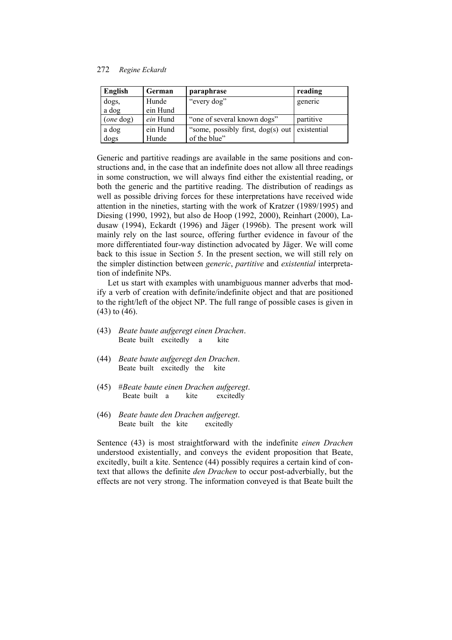| English        | German          | paraphrase                                    | reading   |
|----------------|-----------------|-----------------------------------------------|-----------|
| dogs,<br>a dog | Hunde           | "every dog"                                   | generic   |
|                | ein Hund        |                                               |           |
| (one dog)      | <i>ein</i> Hund | "one of several known dogs"                   | partitive |
| a dog          | ein Hund        | "some, possibly first, dog(s) out existential |           |
| dogs           | Hunde           | of the blue"                                  |           |

Generic and partitive readings are available in the same positions and constructions and, in the case that an indefinite does not allow all three readings in some construction, we will always find either the existential reading, or both the generic and the partitive reading. The distribution of readings as well as possible driving forces for these interpretations have received wide attention in the nineties, starting with the work of Kratzer (1989/1995) and Diesing (1990, 1992), but also de Hoop (1992, 2000), Reinhart (2000), Ladusaw (1994), Eckardt (1996) and Jäger (1996b). The present work will mainly rely on the last source, offering further evidence in favour of the more differentiated four-way distinction advocated by Jäger. We will come back to this issue in Section 5. In the present section, we will still rely on the simpler distinction between *generic*, *partitive* and *existential* interpretation of indefinite NPs.

 Let us start with examples with unambiguous manner adverbs that modify a verb of creation with definite/indefinite object and that are positioned to the right/left of the object NP. The full range of possible cases is given in (43) to (46).

- (43) *Beate baute aufgeregt einen Drachen*. Beate built excitedly a kite
- (44) *Beate baute aufgeregt den Drachen*. Beate built excitedly the kite
- (45) #*Beate baute einen Drachen aufgeregt*. Beate built a kite excitedly
- (46) *Beate baute den Drachen aufgeregt*. Beate built the kite excitedly

Sentence (43) is most straightforward with the indefinite *einen Drachen* understood existentially, and conveys the evident proposition that Beate, excitedly, built a kite. Sentence (44) possibly requires a certain kind of context that allows the definite *den Drachen* to occur post-adverbially, but the effects are not very strong. The information conveyed is that Beate built the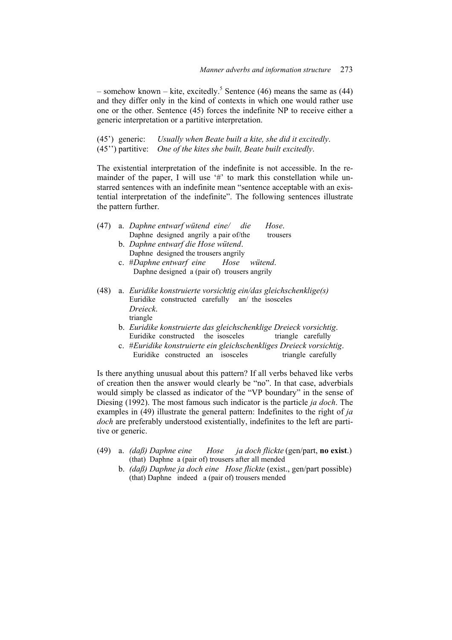– somehow known – kite, excitedly.<sup>5</sup> Sentence (46) means the same as (44) and they differ only in the kind of contexts in which one would rather use one or the other. Sentence (45) forces the indefinite NP to receive either a generic interpretation or a partitive interpretation.

(45') generic: *Usually when Beate built a kite, she did it excitedly*. (45'') partitive: *One of the kites she built, Beate built excitedly*.

The existential interpretation of the indefinite is not accessible. In the remainder of the paper, I will use '#' to mark this constellation while unstarred sentences with an indefinite mean "sentence acceptable with an existential interpretation of the indefinite". The following sentences illustrate the pattern further.

- (47) a. *Daphne entwarf wütend eine/ die Hose*. Daphne designed angrily a pair of/the trousers
	- b. *Daphne entwarf die Hose wütend*. Daphne designed the trousers angrily
	- c. #*Daphne entwarf eine Hose wütend*. Daphne designed a (pair of) trousers angrily
- (48) a. *Euridike konstruierte vorsichtig ein/das gleichschenklige(s)*  Euridike constructed carefully an/ the isosceles *Dreieck*. triangle
	- b. *Euridike konstruierte das gleichschenklige Dreieck vorsichtig*. Euridike constructed the isosceles triangle carefully
	- c. #*Euridike konstruierte ein gleichschenkliges Dreieck vorsichtig*. Euridike constructed an isosceles triangle carefully

Is there anything unusual about this pattern? If all verbs behaved like verbs of creation then the answer would clearly be "no". In that case, adverbials would simply be classed as indicator of the "VP boundary" in the sense of Diesing (1992). The most famous such indicator is the particle *ja doch*. The examples in (49) illustrate the general pattern: Indefinites to the right of *ja doch* are preferably understood existentially, indefinites to the left are partitive or generic.

- (49) a. *(daß) Daphne eine Hose ja doch flickte* (gen/part, **no exist**.) (that) Daphne a (pair of) trousers after all mended
	- b. *(daß) Daphne ja doch eine Hose flickte* (exist., gen/part possible) (that) Daphne indeed a (pair of) trousers mended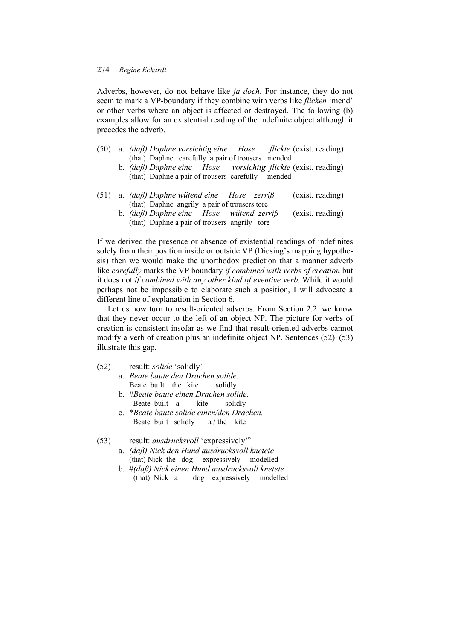Adverbs, however, do not behave like *ja doch*. For instance, they do not seem to mark a VP-boundary if they combine with verbs like *flicken* 'mend' or other verbs where an object is affected or destroyed. The following (b) examples allow for an existential reading of the indefinite object although it precedes the adverb.

- (50) a. *(daß) Daphne vorsichtig eine Hose flickte* (exist. reading) (that) Daphne carefully a pair of trousers mended
	- b. *(daß) Daphne eine Hose vorsichtig flickte* (exist. reading) (that) Daphne a pair of trousers carefully mended
- (51) a. *(daß) Daphne wütend eine Hose zerriß* (exist. reading) (that) Daphne angrily a pair of trousers tore
	- b. *(daß) Daphne eine Hose wütend zerriß* (exist. reading) (that) Daphne a pair of trousers angrily tore

If we derived the presence or absence of existential readings of indefinites solely from their position inside or outside VP (Diesing's mapping hypothesis) then we would make the unorthodox prediction that a manner adverb like *carefully* marks the VP boundary *if combined with verbs of creation* but it does not *if combined with any other kind of eventive verb*. While it would perhaps not be impossible to elaborate such a position, I will advocate a different line of explanation in Section 6.

 Let us now turn to result-oriented adverbs. From Section 2.2. we know that they never occur to the left of an object NP. The picture for verbs of creation is consistent insofar as we find that result-oriented adverbs cannot modify a verb of creation plus an indefinite object NP. Sentences (52)–(53) illustrate this gap.

- (52) result: *solide* 'solidly'
	- a. *Beate baute den Drachen solide.*  Beate built the kite solidly
	- b. #*Beate baute einen Drachen solide.* Beate built a kite solidly
	- c. \**Beate baute solide einen/den Drachen.* Beate built solidly a / the kite
- (53) result: *ausdrucksvoll* 'expressively'<sup>6</sup> a. *(daß) Nick den Hund ausdrucksvoll knetete*  (that) Nick the dog expressively modelled
	- b. #*(daß) Nick einen Hund ausdrucksvoll knetete*  (that) Nick a dog expressively modelled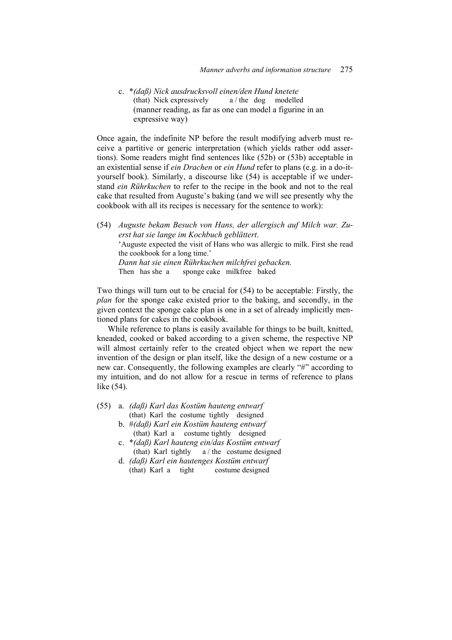c. \**(daß) Nick ausdrucksvoll einen/den Hund knetete* (that) Nick expressively a / the dog modelled (manner reading, as far as one can model a figurine in an expressive way)

Once again, the indefinite NP before the result modifying adverb must receive a partitive or generic interpretation (which yields rather odd assertions). Some readers might find sentences like (52b) or (53b) acceptable in an existential sense if *ein Drachen* or *ein Hund* refer to plans (e.g. in a do-ityourself book). Similarly, a discourse like (54) is acceptable if we understand *ein Rührkuchen* to refer to the recipe in the book and not to the real cake that resulted from Auguste's baking (and we will see presently why the cookbook with all its recipes is necessary for the sentence to work):

(54) *Auguste bekam Besuch von Hans, der allergisch auf Milch war. Zuerst hat sie lange im Kochbuch geblättert*. 'Auguste expected the visit of Hans who was allergic to milk. First she read the cookbook for a long time.' *Dann hat sie einen Rührkuchen milchfrei gebacken.* Then has she a sponge cake milkfree baked

Two things will turn out to be crucial for (54) to be acceptable: Firstly, the *plan* for the sponge cake existed prior to the baking, and secondly, in the given context the sponge cake plan is one in a set of already implicitly mentioned plans for cakes in the cookbook.

While reference to plans is easily available for things to be built, knitted, kneaded, cooked or baked according to a given scheme, the respective NP will almost certainly refer to the created object when we report the new invention of the design or plan itself, like the design of a new costume or a new car. Consequently, the following examples are clearly "#" according to my intuition, and do not allow for a rescue in terms of reference to plans like (54).

- (55) a. *(daß) Karl das Kostüm hauteng entwarf* (that) Karl the costume tightly designed
	- b. #*(daß) Karl ein Kostüm hauteng entwarf* (that) Karl a costume tightly designed
	- c. \**(daß) Karl hauteng ein/das Kostüm entwarf* (that) Karl tightly a / the costume designed
	- d. *(daß) Karl ein hautenges Kostüm entwarf* (that) Karl a tight costume designed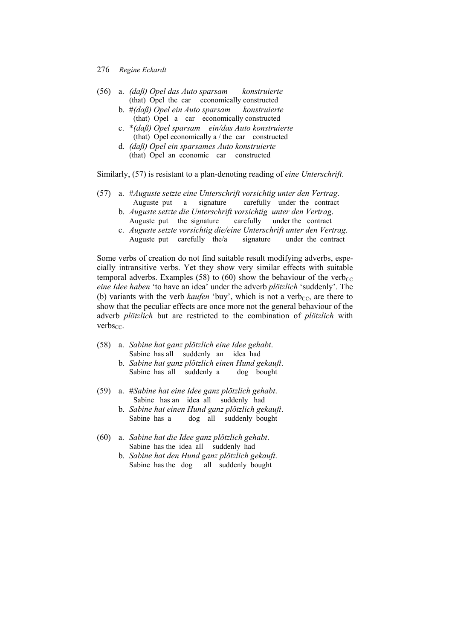- 276 *Regine Eckardt*
- (56) a. *(daß) Opel das Auto sparsam konstruierte* (that) Opel the car economically constructed
	- b. #*(daß) Opel ein Auto sparsam konstruierte* (that) Opel a car economically constructed
	- c. \**(daß) Opel sparsam ein/das Auto konstruierte*
	- (that) Opel economically a / the car constructed
	- d. *(daß) Opel ein sparsames Auto konstruierte* (that) Opel an economic car constructed

Similarly, (57) is resistant to a plan-denoting reading of *eine Unterschrift*.

- (57) a. #*Auguste setzte eine Unterschrift vorsichtig unter den Vertrag*. Auguste put a signature carefully under the contract
	- b. *Auguste setzte die Unterschrift vorsichtig unter den Vertrag*. Auguste put the signature carefully under the contract
	- c. *Auguste setzte vorsichtig die/eine Unterschrift unter den Vertrag*. Auguste put carefully the/a signature under the contract

Some verbs of creation do not find suitable result modifying adverbs, especially intransitive verbs. Yet they show very similar effects with suitable temporal adverbs. Examples (58) to (60) show the behaviour of the verb $_{CC}$ *eine Idee haben* 'to have an idea' under the adverb *plötzlich* 'suddenly'. The (b) variants with the verb *kaufen* 'buy', which is not a verb<sub>CC</sub>, are there to show that the peculiar effects are once more not the general behaviour of the adverb *plötzlich* but are restricted to the combination of *plötzlich* with  $verbs_{CC}$ .

- (58) a. *Sabine hat ganz plötzlich eine Idee gehabt*. Sabine has all suddenly an idea had
	- b. *Sabine hat ganz plötzlich einen Hund gekauft*. Sabine has all suddenly a dog bought
- (59) a. #*Sabine hat eine Idee ganz plötzlich gehabt*. Sabine has an idea all suddenly had
	- b. *Sabine hat einen Hund ganz plötzlich gekauft*. Sabine has a dog all suddenly bought
- (60) a. *Sabine hat die Idee ganz plötzlich gehabt*. Sabine has the idea all suddenly had
	- b. *Sabine hat den Hund ganz plötzlich gekauft*. Sabine has the dog all suddenly bought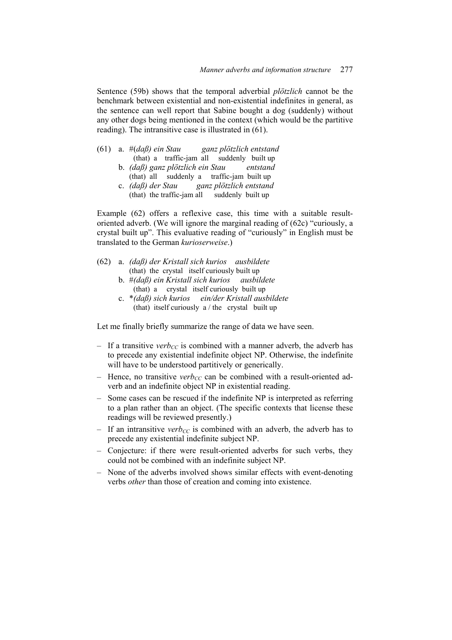Sentence (59b) shows that the temporal adverbial *plötzlich* cannot be the benchmark between existential and non-existential indefinites in general, as the sentence can well report that Sabine bought a dog (suddenly) without any other dogs being mentioned in the context (which would be the partitive reading). The intransitive case is illustrated in (61).

|  | $(61)$ a. # $(da\beta)$ ein Stau ganz plötzlich entstand |
|--|----------------------------------------------------------|
|  | (that) a traffic-jam all suddenly built up               |
|  | b. (daß) ganz plötzlich ein Stau entstand                |
|  | (that) all suddenly a traffic-jam built up               |
|  | c. $(d\alpha\beta)$ der Stau ganz plötzlich entstand     |
|  | (that) the traffic-jam all suddenly built up             |
|  |                                                          |

Example (62) offers a reflexive case, this time with a suitable resultoriented adverb. (We will ignore the marginal reading of (62c) "curiously, a crystal built up". This evaluative reading of "curiously" in English must be translated to the German *kurioserweise*.)

|  |  |  | $(62)$ a. $(da\beta)$ der Kristall sich kurios ausbildete |
|--|--|--|-----------------------------------------------------------|
|  |  |  | (that) the crystal itself curiously built up              |

- b. #*(daß) ein Kristall sich kurios ausbildete* (that) a crystal itself curiously built up
- c. \**(daß) sich kurios ein/der Kristall ausbildete* (that) itself curiously a / the crystal built up

Let me finally briefly summarize the range of data we have seen.

- If a transitive *verb<sub>CC</sub>* is combined with a manner adverb, the adverb has to precede any existential indefinite object NP. Otherwise, the indefinite will have to be understood partitively or generically.
- Hence, no transitive *verb<sub>CC</sub>* can be combined with a result-oriented adverb and an indefinite object NP in existential reading.
- Some cases can be rescued if the indefinite NP is interpreted as referring to a plan rather than an object. (The specific contexts that license these readings will be reviewed presently.)
- If an intransitive *verb<sub>CC</sub>* is combined with an adverb, the adverb has to precede any existential indefinite subject NP.
- Conjecture: if there were result-oriented adverbs for such verbs, they could not be combined with an indefinite subject NP.
- None of the adverbs involved shows similar effects with event-denoting verbs *other* than those of creation and coming into existence.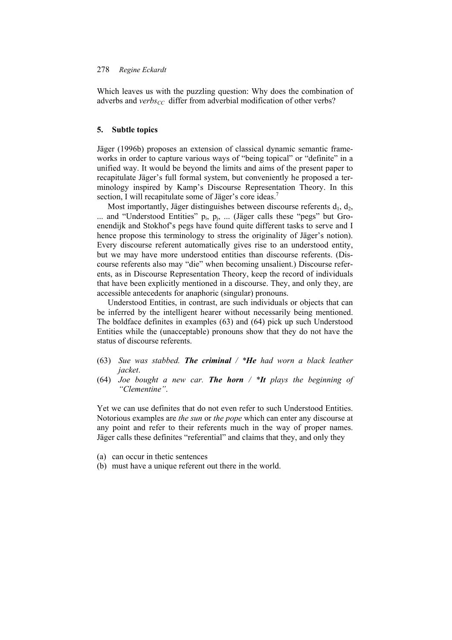Which leaves us with the puzzling question: Why does the combination of adverbs and *verbs<sub>CC</sub>* differ from adverbial modification of other verbs?

## **5. Subtle topics**

Jäger (1996b) proposes an extension of classical dynamic semantic frameworks in order to capture various ways of "being topical" or "definite" in a unified way. It would be beyond the limits and aims of the present paper to recapitulate Jäger's full formal system, but conveniently he proposed a terminology inspired by Kamp's Discourse Representation Theory. In this section, I will recapitulate some of Jäger's core ideas.<sup>7</sup>

Most importantly, Jäger distinguishes between discourse referents  $d_1$ ,  $d_2$ , ... and "Understood Entities"  $p_i$ ,  $p_j$ , ... (Jäger calls these "pegs" but Groenendijk and Stokhof's pegs have found quite different tasks to serve and I hence propose this terminology to stress the originality of Jäger's notion). Every discourse referent automatically gives rise to an understood entity, but we may have more understood entities than discourse referents. (Discourse referents also may "die" when becoming unsalient.) Discourse referents, as in Discourse Representation Theory, keep the record of individuals that have been explicitly mentioned in a discourse. They, and only they, are accessible antecedents for anaphoric (singular) pronouns.

 Understood Entities, in contrast, are such individuals or objects that can be inferred by the intelligent hearer without necessarily being mentioned. The boldface definites in examples (63) and (64) pick up such Understood Entities while the (unacceptable) pronouns show that they do not have the status of discourse referents.

- (63) *Sue was stabbed. The criminal / \*He had worn a black leather jacket*.
- (64) *Joe bought a new car. The horn / \*It plays the beginning of "Clementine"*.

Yet we can use definites that do not even refer to such Understood Entities. Notorious examples are *the sun* or *the pope* which can enter any discourse at any point and refer to their referents much in the way of proper names. Jäger calls these definites "referential" and claims that they, and only they

- (a) can occur in thetic sentences
- (b) must have a unique referent out there in the world.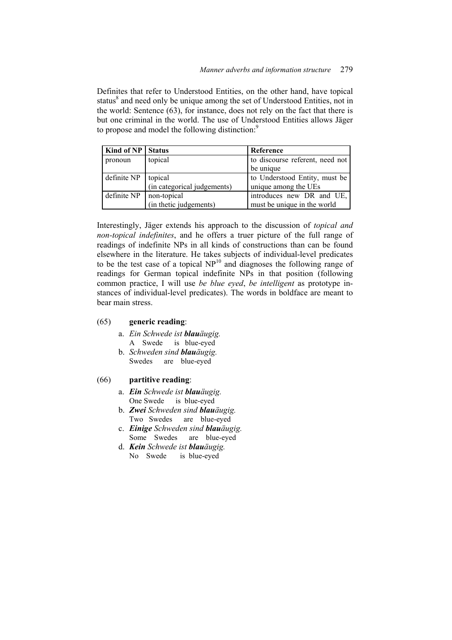Definites that refer to Understood Entities, on the other hand, have topical status<sup>8</sup> and need only be unique among the set of Understood Entities, not in the world: Sentence (63), for instance, does not rely on the fact that there is but one criminal in the world. The use of Understood Entities allows Jäger to propose and model the following distinction:<sup>9</sup>

| Kind of NP   Status |                             | Reference                       |
|---------------------|-----------------------------|---------------------------------|
| pronoun             | topical                     | to discourse referent, need not |
|                     |                             | be unique                       |
| definite NP         | topical                     | to Understood Entity, must be   |
|                     | (in categorical judgements) | unique among the UEs            |
| definite NP         | non-topical                 | introduces new DR and UE,       |
|                     | (in the tic judgements)     | must be unique in the world     |

Interestingly, Jäger extends his approach to the discussion of *topical and non-topical indefinites*, and he offers a truer picture of the full range of readings of indefinite NPs in all kinds of constructions than can be found elsewhere in the literature. He takes subjects of individual-level predicates to be the test case of a topical  $NP<sup>10</sup>$  and diagnoses the following range of readings for German topical indefinite NPs in that position (following common practice, I will use *be blue eyed*, *be intelligent* as prototype instances of individual-level predicates). The words in boldface are meant to bear main stress.

## (65) **generic reading**:

- a. *Ein Schwede ist blauäugig.*  A Swede is blue-eyed
- b. *Schweden sind blauäugig.*  Swedes are blue-eyed

## (66) **partitive reading**:

- a. *Ein Schwede ist blauäugig.*  One Swede is blue-eyed
- b. *Zwei Schweden sind blauäugig.*  Two Swedes are blue-eyed
- c. *Einige Schweden sind blauäugig.*  Some Swedes are blue-eyed
- d. *Kein Schwede ist blauäugig.*  No Swede is blue-eyed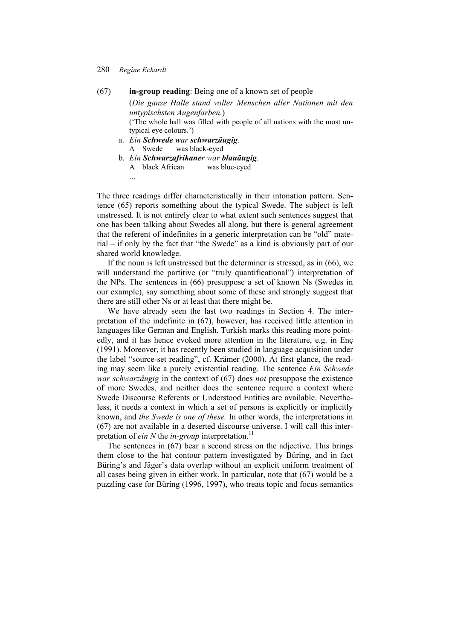## (67) **in-group reading**: Being one of a known set of people

 (*Die ganze Halle stand voller Menschen aller Nationen mit den untypischsten Augenfarben.*) ('The whole hall was filled with people of all nations with the most untypical eye colours.')

- a. *Ein Schwede war schwarzäugig.*  A Swede was black-eyed
- b. *Ein Schwarzafrikaner war blauäugig.*  A black African was blue-eyed ...

The three readings differ characteristically in their intonation pattern. Sentence (65) reports something about the typical Swede. The subject is left unstressed. It is not entirely clear to what extent such sentences suggest that one has been talking about Swedes all along, but there is general agreement that the referent of indefinites in a generic interpretation can be "old" material – if only by the fact that "the Swede" as a kind is obviously part of our shared world knowledge.

 If the noun is left unstressed but the determiner is stressed, as in (66), we will understand the partitive (or "truly quantificational") interpretation of the NPs. The sentences in (66) presuppose a set of known Ns (Swedes in our example), say something about some of these and strongly suggest that there are still other Ns or at least that there might be.

 We have already seen the last two readings in Section 4. The interpretation of the indefinite in (67), however, has received little attention in languages like German and English. Turkish marks this reading more pointedly, and it has hence evoked more attention in the literature, e.g. in Enç (1991). Moreover, it has recently been studied in language acquisition under the label "source-set reading", cf. Krämer (2000). At first glance, the reading may seem like a purely existential reading. The sentence *Ein Schwede war schwarzäugig* in the context of (67) does *not* presuppose the existence of more Swedes, and neither does the sentence require a context where Swede Discourse Referents or Understood Entities are available. Nevertheless, it needs a context in which a set of persons is explicitly or implicitly known, and *the Swede is one of these.* In other words, the interpretations in (67) are not available in a deserted discourse universe. I will call this interpretation of *ein N* the *in-group* interpretation.<sup>11</sup>

 The sentences in (67) bear a second stress on the adjective. This brings them close to the hat contour pattern investigated by Büring, and in fact Büring's and Jäger's data overlap without an explicit uniform treatment of all cases being given in either work. In particular, note that (67) would be a puzzling case for Büring (1996, 1997), who treats topic and focus semantics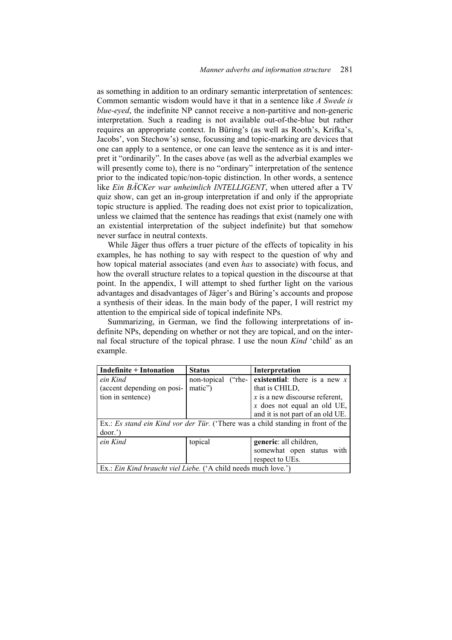as something in addition to an ordinary semantic interpretation of sentences: Common semantic wisdom would have it that in a sentence like *A Swede is blue-eyed*, the indefinite NP cannot receive a non-partitive and non-generic interpretation. Such a reading is not available out-of-the-blue but rather requires an appropriate context. In Büring's (as well as Rooth's, Krifka's, Jacobs', von Stechow's) sense, focussing and topic-marking are devices that one can apply to a sentence, or one can leave the sentence as it is and interpret it "ordinarily". In the cases above (as well as the adverbial examples we will presently come to), there is no "ordinary" interpretation of the sentence prior to the indicated topic/non-topic distinction. In other words, a sentence like *Ein BÄCKer war unheimlich INTELLIGENT*, when uttered after a TV quiz show, can get an in-group interpretation if and only if the appropriate topic structure is applied. The reading does not exist prior to topicalization, unless we claimed that the sentence has readings that exist (namely one with an existential interpretation of the subject indefinite) but that somehow never surface in neutral contexts.

 While Jäger thus offers a truer picture of the effects of topicality in his examples, he has nothing to say with respect to the question of why and how topical material associates (and even *has* to associate) with focus, and how the overall structure relates to a topical question in the discourse at that point. In the appendix, I will attempt to shed further light on the various advantages and disadvantages of Jäger's and Büring's accounts and propose a synthesis of their ideas. In the main body of the paper, I will restrict my attention to the empirical side of topical indefinite NPs.

 Summarizing, in German, we find the following interpretations of indefinite NPs, depending on whether or not they are topical, and on the internal focal structure of the topical phrase. I use the noun *Kind* 'child' as an example.

| Indefinite + Intonation                                        | <b>Status</b>      | Interpretation                                                                  |  |  |  |
|----------------------------------------------------------------|--------------------|---------------------------------------------------------------------------------|--|--|--|
| ein Kind                                                       | non-topical ("rhe- | existential: there is a new $x$                                                 |  |  |  |
| (accent depending on posi-                                     | matic")            | that is CHILD,                                                                  |  |  |  |
| tion in sentence)                                              |                    | $x$ is a new discourse referent,                                                |  |  |  |
|                                                                |                    | $x$ does not equal an old UE,                                                   |  |  |  |
|                                                                |                    | and it is not part of an old UE.                                                |  |  |  |
|                                                                |                    | Ex.: Es stand ein Kind vor der Tür. (There was a child standing in front of the |  |  |  |
| door.'                                                         |                    |                                                                                 |  |  |  |
| ein Kind                                                       | topical            | generic: all children,                                                          |  |  |  |
|                                                                |                    | somewhat open status with                                                       |  |  |  |
|                                                                |                    | respect to UEs.                                                                 |  |  |  |
| Ex.: Ein Kind braucht viel Liebe. ('A child needs much love.') |                    |                                                                                 |  |  |  |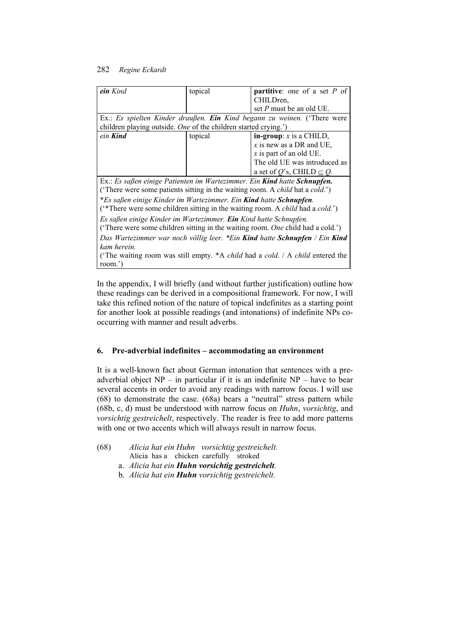| ein Kind                                                                                     | topical | <b>partitive</b> : one of a set $P$ of                                                              |  |  |  |
|----------------------------------------------------------------------------------------------|---------|-----------------------------------------------------------------------------------------------------|--|--|--|
|                                                                                              |         |                                                                                                     |  |  |  |
|                                                                                              |         | CHILDren,                                                                                           |  |  |  |
|                                                                                              |         | set P must be an old UE.                                                                            |  |  |  |
|                                                                                              |         | Ex.: <i>Es spielten Kinder draußen. <b>Ein</b> Kind begann zu weinen.</i> (There were               |  |  |  |
| children playing outside. One of the children started crying.')                              |         |                                                                                                     |  |  |  |
| ein <b>Kind</b>                                                                              | topical | $\mathbf{in}\text{-}\mathbf{group}: x \text{ is a CHILD},$                                          |  |  |  |
|                                                                                              |         | $x$ is new as a DR and UE,                                                                          |  |  |  |
|                                                                                              |         | x is part of an old UE.                                                                             |  |  |  |
|                                                                                              |         | The old UE was introduced as                                                                        |  |  |  |
|                                                                                              |         | a set of Q's, CHILD $\subseteq$ Q.                                                                  |  |  |  |
| Ex.: Es saßen einige Patienten im Wartezimmer. Ein Kind hatte Schnupfen.                     |         |                                                                                                     |  |  |  |
| ('There were some patients sitting in the waiting room. A <i>child</i> hat a <i>cold</i> .') |         |                                                                                                     |  |  |  |
| *Es saßen einige Kinder im Wartezimmer. Ein <b>Kind</b> hatte <b>Schnupfen</b> .             |         |                                                                                                     |  |  |  |
|                                                                                              |         | ("There were some children sitting in the waiting room. A <i>child</i> had a <i>cold</i> .")        |  |  |  |
| Es saßen einige Kinder im Wartezimmer. <b>Ein</b> Kind hatte Schnupfen.                      |         |                                                                                                     |  |  |  |
|                                                                                              |         | ('There were some children sitting in the waiting room. One child had a cold.')                     |  |  |  |
| Das Wartezimmer war noch völlig leer. *Ein Kind hatte Schnupfen / Ein Kind                   |         |                                                                                                     |  |  |  |
| kam herein.                                                                                  |         |                                                                                                     |  |  |  |
|                                                                                              |         | ('The waiting room was still empty. *A <i>child</i> had a <i>cold.</i> / A <i>child</i> entered the |  |  |  |
| room.')                                                                                      |         |                                                                                                     |  |  |  |

In the appendix, I will briefly (and without further justification) outline how these readings can be derived in a compositional framework. For now, I will take this refined notion of the nature of topical indefinites as a starting point for another look at possible readings (and intonations) of indefinite NPs cooccurring with manner and result adverbs.

## **6. Pre-adverbial indefinites – accommodating an environment**

It is a well-known fact about German intonation that sentences with a preadverbial object  $NP$  – in particular if it is an indefinite  $NP$  – have to bear several accents in order to avoid any readings with narrow focus. I will use (68) to demonstrate the case. (68a) bears a "neutral" stress pattern while (68b, c, d) must be understood with narrow focus on *Huhn*, *vorsichtig*, and *vorsichtig gestreichelt*, respectively. The reader is free to add more patterns with one or two accents which will always result in narrow focus.

- (68) *Alicia hat ein Huhn vorsichtig gestreichelt.* Alicia has a chicken carefully stroked
	- a. *Alicia hat ein Huhn vorsichtig gestreichelt.*
	- b. *Alicia hat ein Huhn vorsichtig gestreichelt.*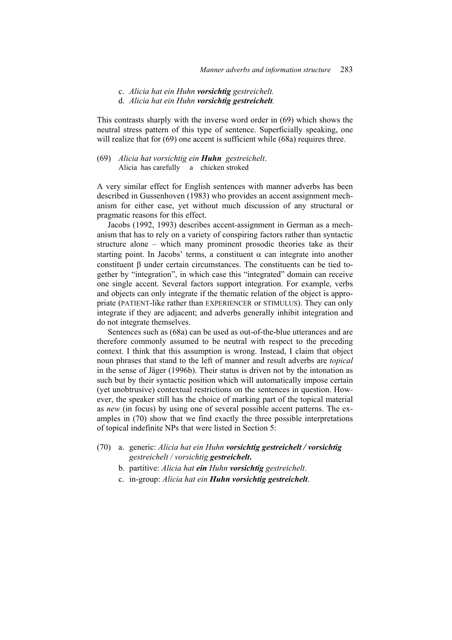#### c. *Alicia hat ein Huhn vorsichtig gestreichelt.*

## d. *Alicia hat ein Huhn vorsichtig gestreichelt.*

This contrasts sharply with the inverse word order in (69) which shows the neutral stress pattern of this type of sentence. Superficially speaking, one will realize that for (69) one accent is sufficient while (68a) requires three.

## (69) *Alicia hat vorsichtig ein Huhn gestreichelt*. Alicia has carefully a chicken stroked

A very similar effect for English sentences with manner adverbs has been described in Gussenhoven (1983) who provides an accent assignment mechanism for either case, yet without much discussion of any structural or pragmatic reasons for this effect.

 Jacobs (1992, 1993) describes accent-assignment in German as a mechanism that has to rely on a variety of conspiring factors rather than syntactic structure alone – which many prominent prosodic theories take as their starting point. In Jacobs' terms, a constituent  $\alpha$  can integrate into another constituent β under certain circumstances. The constituents can be tied together by "integration", in which case this "integrated" domain can receive one single accent. Several factors support integration. For example, verbs and objects can only integrate if the thematic relation of the object is appropriate (PATIENT-like rather than EXPERIENCER or STIMULUS). They can only integrate if they are adjacent; and adverbs generally inhibit integration and do not integrate themselves.

 Sentences such as (68a) can be used as out-of-the-blue utterances and are therefore commonly assumed to be neutral with respect to the preceding context. I think that this assumption is wrong. Instead, I claim that object noun phrases that stand to the left of manner and result adverbs are *topical* in the sense of Jäger (1996b). Their status is driven not by the intonation as such but by their syntactic position which will automatically impose certain (yet unobtrusive) contextual restrictions on the sentences in question. However, the speaker still has the choice of marking part of the topical material as *new* (in focus) by using one of several possible accent patterns. The examples in (70) show that we find exactly the three possible interpretations of topical indefinite NPs that were listed in Section 5:

- (70) a. generic: *Alicia hat ein Huhn vorsichtig gestreichelt / vorsichtig gestreichelt / vorsichtig gestreichelt***.**
	- b. partitive: *Alicia hat ein Huhn vorsichtig gestreichelt*.
	- c. in-group: *Alicia hat ein Huhn vorsichtig gestreichelt*.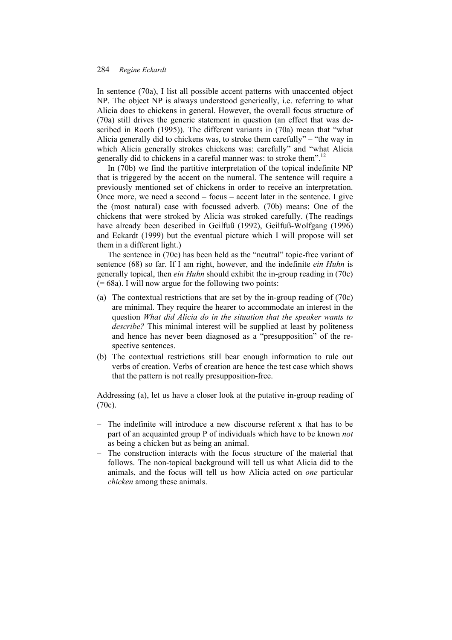In sentence (70a), I list all possible accent patterns with unaccented object NP. The object NP is always understood generically, i.e. referring to what Alicia does to chickens in general. However, the overall focus structure of (70a) still drives the generic statement in question (an effect that was described in Rooth (1995)). The different variants in (70a) mean that "what Alicia generally did to chickens was, to stroke them carefully" – "the way in which Alicia generally strokes chickens was: carefully" and "what Alicia generally did to chickens in a careful manner was: to stroke them".<sup>12</sup>

 In (70b) we find the partitive interpretation of the topical indefinite NP that is triggered by the accent on the numeral. The sentence will require a previously mentioned set of chickens in order to receive an interpretation. Once more, we need a second – focus – accent later in the sentence. I give the (most natural) case with focussed adverb. (70b) means: One of the chickens that were stroked by Alicia was stroked carefully. (The readings have already been described in Geilfuß (1992), Geilfuß-Wolfgang (1996) and Eckardt (1999) but the eventual picture which I will propose will set them in a different light.)

The sentence in (70c) has been held as the "neutral" topic-free variant of sentence (68) so far. If I am right, however, and the indefinite *ein Huhn* is generally topical, then *ein Huhn* should exhibit the in-group reading in (70c)  $(= 68a)$ . I will now argue for the following two points:

- (a) The contextual restrictions that are set by the in-group reading of (70c) are minimal. They require the hearer to accommodate an interest in the question *What did Alicia do in the situation that the speaker wants to describe?* This minimal interest will be supplied at least by politeness and hence has never been diagnosed as a "presupposition" of the respective sentences.
- (b) The contextual restrictions still bear enough information to rule out verbs of creation. Verbs of creation are hence the test case which shows that the pattern is not really presupposition-free.

Addressing (a), let us have a closer look at the putative in-group reading of (70c).

- The indefinite will introduce a new discourse referent x that has to be part of an acquainted group P of individuals which have to be known *not* as being a chicken but as being an animal.
- The construction interacts with the focus structure of the material that follows. The non-topical background will tell us what Alicia did to the animals, and the focus will tell us how Alicia acted on *one* particular *chicken* among these animals.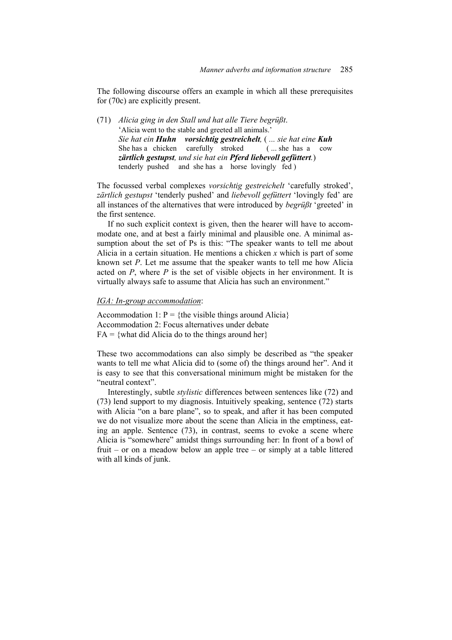The following discourse offers an example in which all these prerequisites for (70c) are explicitly present.

(71) *Alicia ging in den Stall und hat alle Tiere begrüßt*. 'Alicia went to the stable and greeted all animals.' *Sie hat ein <i>Huhn vorsichtig gestreichelt*, ( ... *sie hat eine <i>Kuh* She has a cow ( ... she has a cow She has a chicken carefully stroked *zärtlich gestupst, und sie hat ein Pferd liebevoll gefüttert.*) tenderly pushed and she has a horse lovingly fed )

The focussed verbal complexes *vorsichtig gestreichelt* 'carefully stroked', *zärtlich gestupst* 'tenderly pushed' and *liebevoll gefüttert* 'lovingly fed' are all instances of the alternatives that were introduced by *begrüßt* 'greeted' in the first sentence.

 If no such explicit context is given, then the hearer will have to accommodate one, and at best a fairly minimal and plausible one. A minimal assumption about the set of Ps is this: "The speaker wants to tell me about Alicia in a certain situation. He mentions a chicken *x* which is part of some known set *P*. Let me assume that the speaker wants to tell me how Alicia acted on *P*, where *P* is the set of visible objects in her environment. It is virtually always safe to assume that Alicia has such an environment."

#### *IGA: In-group accommodation*:

Accommodation 1:  $P = \{$ the visible things around Alicia $\}$ Accommodation 2: Focus alternatives under debate  $FA = \{what did Alicia do to the things around her\}$ 

These two accommodations can also simply be described as "the speaker wants to tell me what Alicia did to (some of) the things around her". And it is easy to see that this conversational minimum might be mistaken for the "neutral context".

 Interestingly, subtle *stylistic* differences between sentences like (72) and (73) lend support to my diagnosis. Intuitively speaking, sentence (72) starts with Alicia "on a bare plane", so to speak, and after it has been computed we do not visualize more about the scene than Alicia in the emptiness, eating an apple. Sentence (73), in contrast, seems to evoke a scene where Alicia is "somewhere" amidst things surrounding her: In front of a bowl of fruit – or on a meadow below an apple tree – or simply at a table littered with all kinds of junk.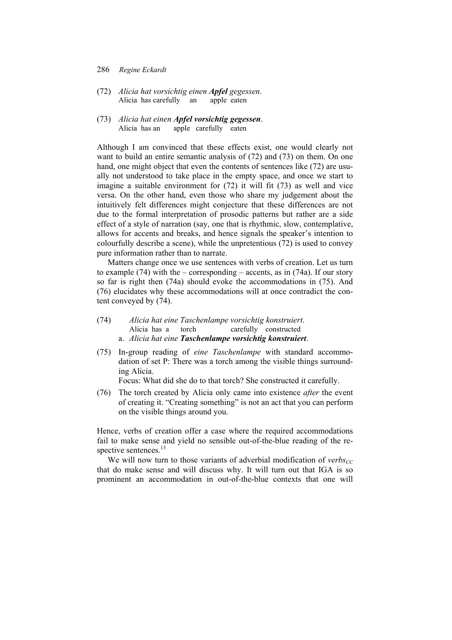- (72) *Alicia hat vorsichtig einen Apfel gegessen*. Alicia has carefully an apple eaten
- (73) *Alicia hat einen Apfel vorsichtig gegessen*. Alicia has an apple carefully eaten

Although I am convinced that these effects exist, one would clearly not want to build an entire semantic analysis of (72) and (73) on them. On one hand, one might object that even the contents of sentences like (72) are usually not understood to take place in the empty space, and once we start to imagine a suitable environment for (72) it will fit (73) as well and vice versa. On the other hand, even those who share my judgement about the intuitively felt differences might conjecture that these differences are not due to the formal interpretation of prosodic patterns but rather are a side effect of a style of narration (say, one that is rhythmic, slow, contemplative, allows for accents and breaks, and hence signals the speaker's intention to colourfully describe a scene), while the unpretentious (72) is used to convey pure information rather than to narrate.

 Matters change once we use sentences with verbs of creation. Let us turn to example  $(74)$  with the – corresponding – accents, as in  $(74a)$ . If our story so far is right then (74a) should evoke the accommodations in (75). And (76) elucidates why these accommodations will at once contradict the content conveyed by (74).

- (74) *Alicia hat eine Taschenlampe vorsichtig konstruiert*. Alicia has a torch carefully constructed a. *Alicia hat eine Taschenlampe vorsichtig konstruiert*.
- (75) In-group reading of *eine Taschenlampe* with standard accommodation of set P: There was a torch among the visible things surrounding Alicia.

Focus: What did she do to that torch? She constructed it carefully.

(76) The torch created by Alicia only came into existence *after* the event of creating it. "Creating something" is not an act that you can perform on the visible things around you.

Hence, verbs of creation offer a case where the required accommodations fail to make sense and yield no sensible out-of-the-blue reading of the respective sentences.<sup>13</sup>

We will now turn to those variants of adverbial modification of *verbs<sub>CC</sub>* that do make sense and will discuss why. It will turn out that IGA is so prominent an accommodation in out-of-the-blue contexts that one will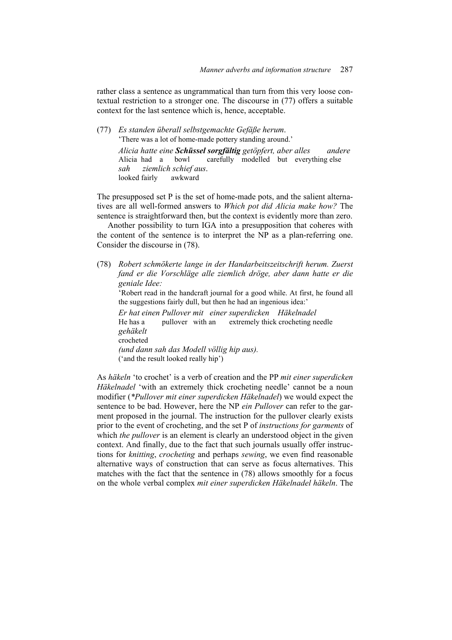rather class a sentence as ungrammatical than turn from this very loose contextual restriction to a stronger one. The discourse in (77) offers a suitable context for the last sentence which is, hence, acceptable.

(77) *Es standen überall selbstgemachte Gefäße herum*. 'There was a lot of home-made pottery standing around.'

> *Alicia hatte eine Schüssel sorgfältig getöpfert, aber alles andere*  Alicia had a bowl carefully modelled but everything else *sah ziemlich schief aus*. looked fairly awkward

The presupposed set P is the set of home-made pots, and the salient alternatives are all well-formed answers to *Which pot did Alicia make how?* The sentence is straightforward then, but the context is evidently more than zero.

 Another possibility to turn IGA into a presupposition that coheres with the content of the sentence is to interpret the NP as a plan-referring one. Consider the discourse in (78).

(78) *Robert schmökerte lange in der Handarbeitszeitschrift herum. Zuerst fand er die Vorschläge alle ziemlich dröge, aber dann hatte er die geniale Idee:*

 'Robert read in the handcraft journal for a good while. At first, he found all the suggestions fairly dull, but then he had an ingenious idea:'

*Er hat einen Pullover mit einer superdicken Häkelnadel*  He has a pullover with an extremely thick crocheting needle *gehäkelt*  crocheted *(und dann sah das Modell völlig hip aus).*  ('and the result looked really hip')

As *häkeln* 'to crochet' is a verb of creation and the PP *mit einer superdicken Häkelnadel* 'with an extremely thick crocheting needle' cannot be a noun modifier (*\*Pullover mit einer superdicken Häkelnadel*) we would expect the sentence to be bad. However, here the NP *ein Pullover* can refer to the garment proposed in the journal. The instruction for the pullover clearly exists prior to the event of crocheting, and the set P of *instructions for garments* of which *the pullover* is an element is clearly an understood object in the given context. And finally, due to the fact that such journals usually offer instructions for *knitting*, *crocheting* and perhaps *sewing*, we even find reasonable alternative ways of construction that can serve as focus alternatives. This matches with the fact that the sentence in (78) allows smoothly for a focus on the whole verbal complex *mit einer superdicken Häkelnadel häkeln*. The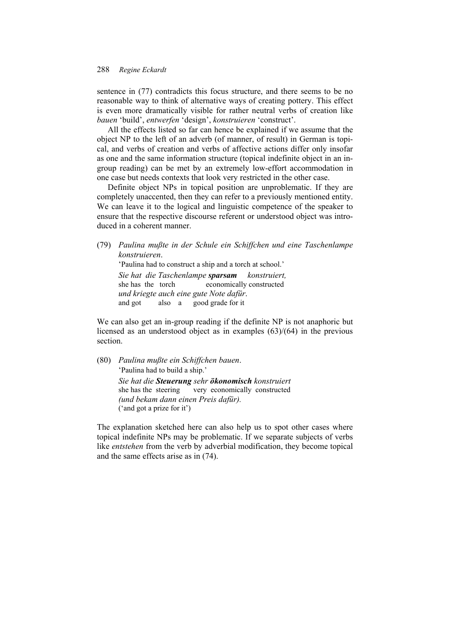sentence in (77) contradicts this focus structure, and there seems to be no reasonable way to think of alternative ways of creating pottery. This effect is even more dramatically visible for rather neutral verbs of creation like *bauen* 'build', *entwerfen* 'design', *konstruieren* 'construct'.

 All the effects listed so far can hence be explained if we assume that the object NP to the left of an adverb (of manner, of result) in German is topical, and verbs of creation and verbs of affective actions differ only insofar as one and the same information structure (topical indefinite object in an ingroup reading) can be met by an extremely low-effort accommodation in one case but needs contexts that look very restricted in the other case.

 Definite object NPs in topical position are unproblematic. If they are completely unaccented, then they can refer to a previously mentioned entity. We can leave it to the logical and linguistic competence of the speaker to ensure that the respective discourse referent or understood object was introduced in a coherent manner.

(79) *Paulina mußte in der Schule ein Schiffchen und eine Taschenlampe konstruieren*.

 'Paulina had to construct a ship and a torch at school.' *Sie hat die Taschenlampe sparsam konstruiert,*  she has the torch economically constructed *und kriegte auch eine gute Note dafür*. and got also a good grade for it

We can also get an in-group reading if the definite NP is not anaphoric but licensed as an understood object as in examples (63)/(64) in the previous section.

(80) *Paulina mußte ein Schiffchen bauen*. 'Paulina had to build a ship.' *Sie hat die Steuerung sehr ökonomisch konstruiert*  she has the steering very economically constructed *(und bekam dann einen Preis dafür).*  ('and got a prize for it')

The explanation sketched here can also help us to spot other cases where topical indefinite NPs may be problematic. If we separate subjects of verbs like *entstehen* from the verb by adverbial modification, they become topical and the same effects arise as in (74).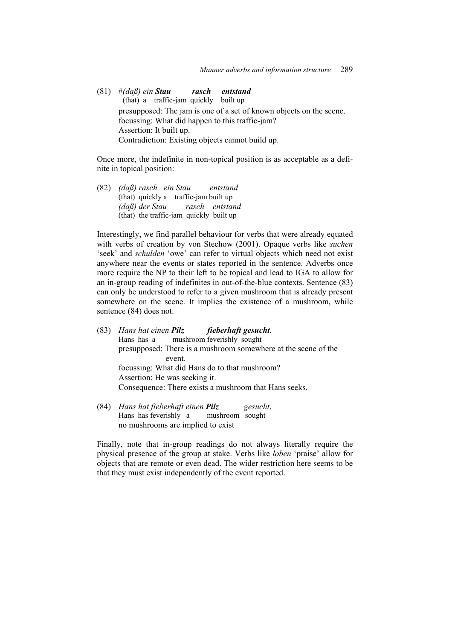(81) #*(daß) ein Stau rasch entstand* (that) a traffic-jam quickly built up presupposed: The jam is one of a set of known objects on the scene. focussing: What did happen to this traffic-jam? Assertion: It built up. Contradiction: Existing objects cannot build up.

Once more, the indefinite in non-topical position is as acceptable as a definite in topical position:

(82) *(daß) rasch ein Stau entstand* (that) quickly a traffic-jam built up *(daß) der Stau rasch entstand* (that) the traffic-jam quickly built up

Interestingly, we find parallel behaviour for verbs that were already equated with verbs of creation by von Stechow (2001). Opaque verbs like *suchen* 'seek' and *schulden* 'owe' can refer to virtual objects which need not exist anywhere near the events or states reported in the sentence. Adverbs once more require the NP to their left to be topical and lead to IGA to allow for an in-group reading of indefinites in out-of-the-blue contexts. Sentence (83) can only be understood to refer to a given mushroom that is already present somewhere on the scene. It implies the existence of a mushroom, while sentence (84) does not.

- (83) *Hans hat einen Pilz fieberhaft gesucht*. Hans has a mushroom feverishly sought presupposed: There is a mushroom somewhere at the scene of the event. focussing: What did Hans do to that mushroom? Assertion: He was seeking it. Consequence: There exists a mushroom that Hans seeks.
- (84) *Hans hat fieberhaft einen Pilz gesucht*. Hans has feverishly a mushroom sought no mushrooms are implied to exist

Finally, note that in-group readings do not always literally require the physical presence of the group at stake. Verbs like *loben* 'praise' allow for objects that are remote or even dead. The wider restriction here seems to be that they must exist independently of the event reported.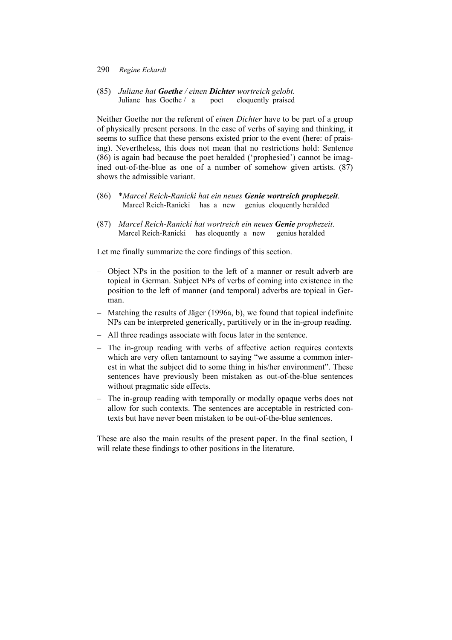(85) *Juliane hat Goethe / einen Dichter wortreich gelobt*. Juliane has Goethe / a poet eloquently praised

Neither Goethe nor the referent of *einen Dichter* have to be part of a group of physically present persons. In the case of verbs of saying and thinking, it seems to suffice that these persons existed prior to the event (here: of praising). Nevertheless, this does not mean that no restrictions hold: Sentence (86) is again bad because the poet heralded ('prophesied') cannot be imagined out-of-the-blue as one of a number of somehow given artists. (87) shows the admissible variant.

- (86) \**Marcel Reich-Ranicki hat ein neues Genie wortreich prophezeit*. Marcel Reich-Ranicki has a new genius eloquently heralded
- (87) *Marcel Reich-Ranicki hat wortreich ein neues Genie prophezeit*. Marcel Reich-Ranicki has eloquently a new genius heralded

Let me finally summarize the core findings of this section.

- Object NPs in the position to the left of a manner or result adverb are topical in German. Subject NPs of verbs of coming into existence in the position to the left of manner (and temporal) adverbs are topical in German.
- Matching the results of Jäger (1996a, b), we found that topical indefinite NPs can be interpreted generically, partitively or in the in-group reading.
- All three readings associate with focus later in the sentence.
- The in-group reading with verbs of affective action requires contexts which are very often tantamount to saying "we assume a common interest in what the subject did to some thing in his/her environment". These sentences have previously been mistaken as out-of-the-blue sentences without pragmatic side effects.
- The in-group reading with temporally or modally opaque verbs does not allow for such contexts. The sentences are acceptable in restricted contexts but have never been mistaken to be out-of-the-blue sentences.

These are also the main results of the present paper. In the final section, I will relate these findings to other positions in the literature.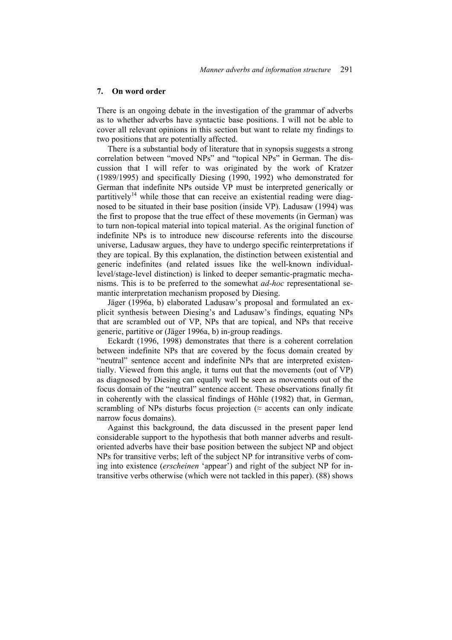#### **7. On word order**

There is an ongoing debate in the investigation of the grammar of adverbs as to whether adverbs have syntactic base positions. I will not be able to cover all relevant opinions in this section but want to relate my findings to two positions that are potentially affected.

 There is a substantial body of literature that in synopsis suggests a strong correlation between "moved NPs" and "topical NPs" in German. The discussion that I will refer to was originated by the work of Kratzer (1989/1995) and specifically Diesing (1990, 1992) who demonstrated for German that indefinite NPs outside VP must be interpreted generically or partitively<sup>14</sup> while those that can receive an existential reading were diagnosed to be situated in their base position (inside VP). Ladusaw (1994) was the first to propose that the true effect of these movements (in German) was to turn non-topical material into topical material. As the original function of indefinite NPs is to introduce new discourse referents into the discourse universe, Ladusaw argues, they have to undergo specific reinterpretations if they are topical. By this explanation, the distinction between existential and generic indefinites (and related issues like the well-known individuallevel/stage-level distinction) is linked to deeper semantic-pragmatic mechanisms. This is to be preferred to the somewhat *ad-hoc* representational semantic interpretation mechanism proposed by Diesing.

 Jäger (1996a, b) elaborated Ladusaw's proposal and formulated an explicit synthesis between Diesing's and Ladusaw's findings, equating NPs that are scrambled out of VP, NPs that are topical, and NPs that receive generic, partitive or (Jäger 1996a, b) in-group readings.

 Eckardt (1996, 1998) demonstrates that there is a coherent correlation between indefinite NPs that are covered by the focus domain created by "neutral" sentence accent and indefinite NPs that are interpreted existentially. Viewed from this angle, it turns out that the movements (out of VP) as diagnosed by Diesing can equally well be seen as movements out of the focus domain of the "neutral" sentence accent. These observations finally fit in coherently with the classical findings of Höhle (1982) that, in German, scrambling of NPs disturbs focus projection ( $\approx$  accents can only indicate narrow focus domains).

 Against this background, the data discussed in the present paper lend considerable support to the hypothesis that both manner adverbs and resultoriented adverbs have their base position between the subject NP and object NPs for transitive verbs; left of the subject NP for intransitive verbs of coming into existence (*erscheinen* 'appear') and right of the subject NP for intransitive verbs otherwise (which were not tackled in this paper). (88) shows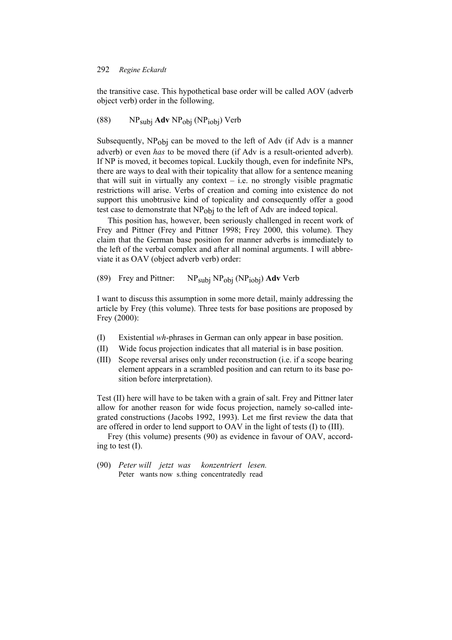the transitive case. This hypothetical base order will be called AOV (adverb object verb) order in the following.

## (88) NPsubj **Adv** NPobj (NPiobj) Verb

Subsequently, NP<sub>obj</sub> can be moved to the left of Adv (if Adv is a manner adverb) or even *has* to be moved there (if Adv is a result-oriented adverb). If NP is moved, it becomes topical. Luckily though, even for indefinite NPs, there are ways to deal with their topicality that allow for a sentence meaning that will suit in virtually any context  $-$  i.e. no strongly visible pragmatic restrictions will arise. Verbs of creation and coming into existence do not support this unobtrusive kind of topicality and consequently offer a good test case to demonstrate that  $NP<sub>obj</sub>$  to the left of Adv are indeed topical.

 This position has, however, been seriously challenged in recent work of Frey and Pittner (Frey and Pittner 1998; Frey 2000, this volume). They claim that the German base position for manner adverbs is immediately to the left of the verbal complex and after all nominal arguments. I will abbreviate it as OAV (object adverb verb) order:

(89) Frey and Pittner: NPsubj NPobj (NPiobj) **Adv** Verb

I want to discuss this assumption in some more detail, mainly addressing the article by Frey (this volume). Three tests for base positions are proposed by Frey (2000):

- (I) Existential *wh*-phrases in German can only appear in base position.
- (II) Wide focus projection indicates that all material is in base position.
- (III) Scope reversal arises only under reconstruction (i.e. if a scope bearing element appears in a scrambled position and can return to its base position before interpretation).

Test (II) here will have to be taken with a grain of salt. Frey and Pittner later allow for another reason for wide focus projection, namely so-called integrated constructions (Jacobs 1992, 1993). Let me first review the data that are offered in order to lend support to OAV in the light of tests (I) to (III).

 Frey (this volume) presents (90) as evidence in favour of OAV, according to test (I).

(90) *Peter will jetzt was konzentriert lesen.* Peter wants now s.thing concentratedly read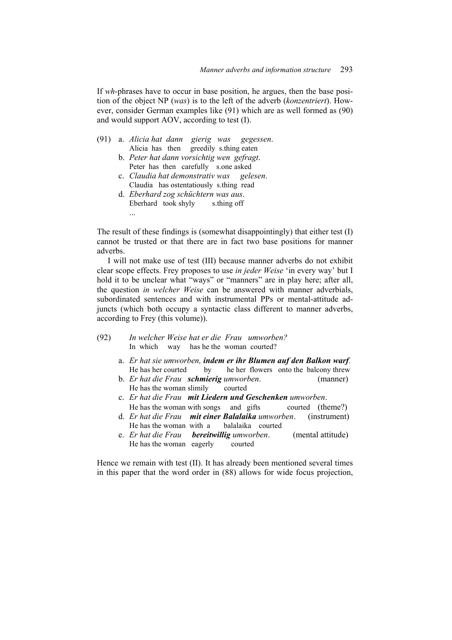If *wh*-phrases have to occur in base position, he argues, then the base position of the object NP (*was*) is to the left of the adverb (*konzentriert*). However, consider German examples like (91) which are as well formed as (90) and would support AOV, according to test (I).

|  | (91) a. Alicia hat dann gierig was gegessen. |  |
|--|----------------------------------------------|--|
|  | Alicia has then greedily sthing eaten        |  |
|  |                                              |  |

- b. *Peter hat dann vorsichtig wen gefragt*. Peter has then carefully s.one asked
- c. *Claudia hat demonstrativ was gelesen*. Claudia has ostentatiously s.thing read
- d. *Eberhard zog schüchtern was aus*. Eberhard took shyly s.thing off ...

The result of these findings is (somewhat disappointingly) that either test (I) cannot be trusted or that there are in fact two base positions for manner adverbs.

 I will not make use of test (III) because manner adverbs do not exhibit clear scope effects. Frey proposes to use *in jeder Weise* 'in every way' but I hold it to be unclear what "ways" or "manners" are in play here; after all, the question *in welcher Weise* can be answered with manner adverbials, subordinated sentences and with instrumental PPs or mental-attitude adjuncts (which both occupy a syntactic class different to manner adverbs, according to Frey (this volume)).

- (92) *In welcher Weise hat er die Frau umworben?* In which way has he the woman courted?
	- a. *Er hat sie umworben, indem er ihr Blumen auf den Balkon warf.* He has her courted by he her flowers onto the balcony threw
	- b. *Er hat die Frau schmierig umworben*. (manner) He has the woman slimily courted
	- c. *Er hat die Frau mit Liedern und Geschenken umworben*. He has the woman with songs and gifts courted (theme?)
	- d. *Er hat die Frau mit einer Balalaika umworben*. (instrument) He has the woman with a balalaika courted
	- e. *Er hat die Frau bereitwillig umworben*. (mental attitude) He has the woman eagerly courted

Hence we remain with test (II). It has already been mentioned several times in this paper that the word order in (88) allows for wide focus projection,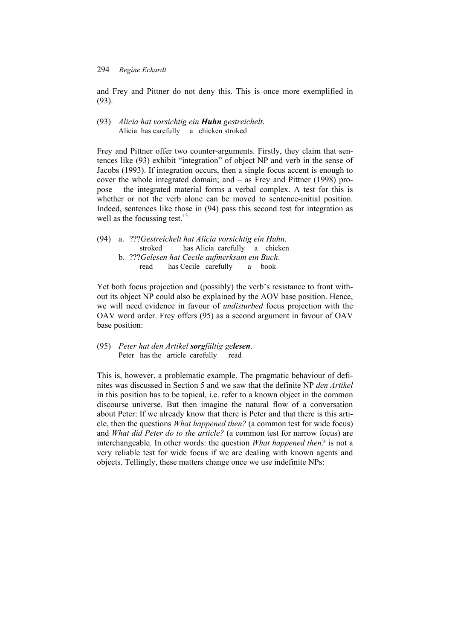and Frey and Pittner do not deny this. This is once more exemplified in (93).

(93) *Alicia hat vorsichtig ein Huhn gestreichelt*. Alicia has carefully a chicken stroked

Frey and Pittner offer two counter-arguments. Firstly, they claim that sentences like (93) exhibit "integration" of object NP and verb in the sense of Jacobs (1993). If integration occurs, then a single focus accent is enough to cover the whole integrated domain; and – as Frey and Pittner (1998) propose – the integrated material forms a verbal complex. A test for this is whether or not the verb alone can be moved to sentence-initial position. Indeed, sentences like those in (94) pass this second test for integration as well as the focussing test.<sup>15</sup>

|  | (94) a. ???Gestreichelt hat Alicia vorsichtig ein Huhn. |                                        |  |
|--|---------------------------------------------------------|----------------------------------------|--|
|  |                                                         | stroked has Alicia carefully a chicken |  |
|  | b. ???Gelesen hat Cecile aufmerksam ein Buch.           |                                        |  |
|  |                                                         | read has Cecile carefully a book       |  |

Yet both focus projection and (possibly) the verb's resistance to front without its object NP could also be explained by the AOV base position. Hence, we will need evidence in favour of *undisturbed* focus projection with the OAV word order. Frey offers (95) as a second argument in favour of OAV base position:

(95) *Peter hat den Artikel sorgfältig gelesen*. Peter has the article carefully read

This is, however, a problematic example. The pragmatic behaviour of definites was discussed in Section 5 and we saw that the definite NP *den Artikel* in this position has to be topical, i.e. refer to a known object in the common discourse universe. But then imagine the natural flow of a conversation about Peter: If we already know that there is Peter and that there is this article, then the questions *What happened then?* (a common test for wide focus) and *What did Peter do to the article?* (a common test for narrow focus) are interchangeable. In other words: the question *What happened then?* is not a very reliable test for wide focus if we are dealing with known agents and objects. Tellingly, these matters change once we use indefinite NPs: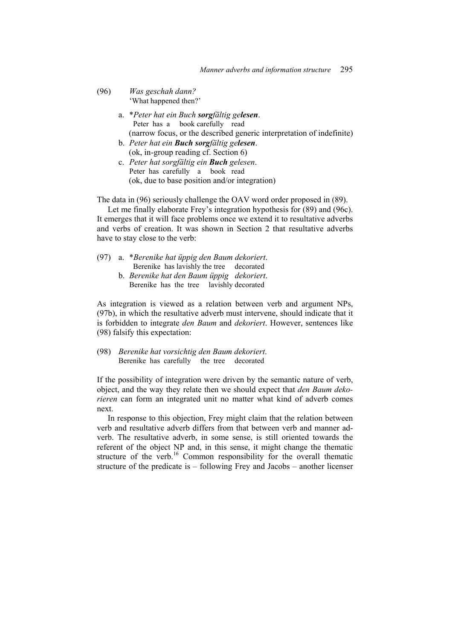## (96) *Was geschah dann?* 'What happened then?'

- a. \**Peter hat ein Buch sorgfältig gelesen*. Peter has a book carefully read (narrow focus, or the described generic interpretation of indefinite)
- b. *Peter hat ein Buch sorgfältig gelesen*. (ok, in-group reading cf. Section 6)
- c. *Peter hat sorgfältig ein Buch gelesen*. Peter has carefully a book read (ok, due to base position and/or integration)

The data in (96) seriously challenge the OAV word order proposed in (89).

 Let me finally elaborate Frey's integration hypothesis for (89) and (96c). It emerges that it will face problems once we extend it to resultative adverbs and verbs of creation. It was shown in Section 2 that resultative adverbs have to stay close to the verb:

|  | (97) a. *Berenike hat üppig den Baum dekoriert. |
|--|-------------------------------------------------|
|  | Berenike has lavishly the tree decorated        |
|  | b. Berenike hat den Baum üppig dekoriert.       |
|  | Berenike has the tree lavishly decorated        |

As integration is viewed as a relation between verb and argument NPs, (97b), in which the resultative adverb must intervene, should indicate that it is forbidden to integrate *den Baum* and *dekoriert*. However, sentences like (98) falsify this expectation:

(98) *Berenike hat vorsichtig den Baum dekoriert*. Berenike has carefully the tree decorated

If the possibility of integration were driven by the semantic nature of verb, object, and the way they relate then we should expect that *den Baum dekorieren* can form an integrated unit no matter what kind of adverb comes next.

 In response to this objection, Frey might claim that the relation between verb and resultative adverb differs from that between verb and manner adverb. The resultative adverb, in some sense, is still oriented towards the referent of the object NP and, in this sense, it might change the thematic structure of the verb.<sup>16</sup> Common responsibility for the overall thematic structure of the predicate is – following Frey and Jacobs – another licenser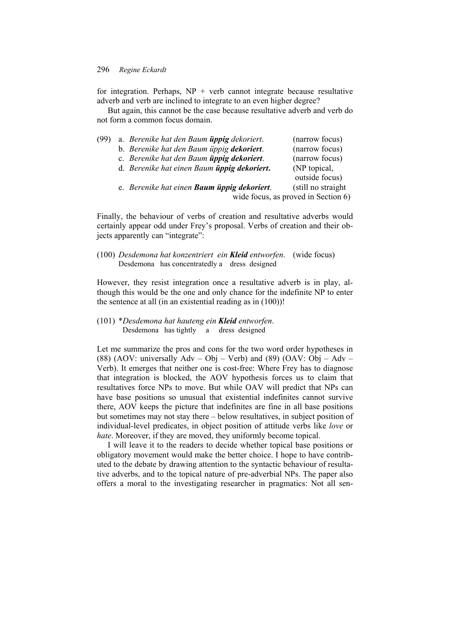for integration. Perhaps,  $NP + verb$  cannot integrate because resultative adverb and verb are inclined to integrate to an even higher degree?

 But again, this cannot be the case because resultative adverb and verb do not form a common focus domain.

| (99) | a. Berenike hat den Baum <b>üppig</b> dekoriert. | (narrow focus)                      |
|------|--------------------------------------------------|-------------------------------------|
|      | b. Berenike hat den Baum üppig dekoriert.        | (narrow focus)                      |
|      | c. Berenike hat den Baum üppig dekoriert.        | (narrow focus)                      |
|      | d. Berenike hat einen Baum üppig dekoriert.      | (NP topical,                        |
|      |                                                  | outside focus)                      |
|      | e. Berenike hat einen Baum üppig dekoriert.      | (still no straight)                 |
|      |                                                  | wide focus, as proved in Section 6) |

Finally, the behaviour of verbs of creation and resultative adverbs would certainly appear odd under Frey's proposal. Verbs of creation and their objects apparently can "integrate":

(100) *Desdemona hat konzentriert ein Kleid entworfen*. (wide focus) Desdemona has concentratedly a dress designed

However, they resist integration once a resultative adverb is in play, although this would be the one and only chance for the indefinite NP to enter the sentence at all (in an existential reading as in (100))!

## (101) \**Desdemona hat hauteng ein Kleid entworfen*. Desdemona has tightly a dress designed

Let me summarize the pros and cons for the two word order hypotheses in (88) (AOV: universally  $Adv - Obj - Verb$ ) and (89) (OAV: Obj – Adv – Verb). It emerges that neither one is cost-free: Where Frey has to diagnose that integration is blocked, the AOV hypothesis forces us to claim that resultatives force NPs to move. But while OAV will predict that NPs can have base positions so unusual that existential indefinites cannot survive there, AOV keeps the picture that indefinites are fine in all base positions but sometimes may not stay there – below resultatives, in subject position of individual-level predicates, in object position of attitude verbs like *love* or *hate*. Moreover, if they are moved, they uniformly become topical.

 I will leave it to the readers to decide whether topical base positions or obligatory movement would make the better choice. I hope to have contributed to the debate by drawing attention to the syntactic behaviour of resultative adverbs, and to the topical nature of pre-adverbial NPs. The paper also offers a moral to the investigating researcher in pragmatics: Not all sen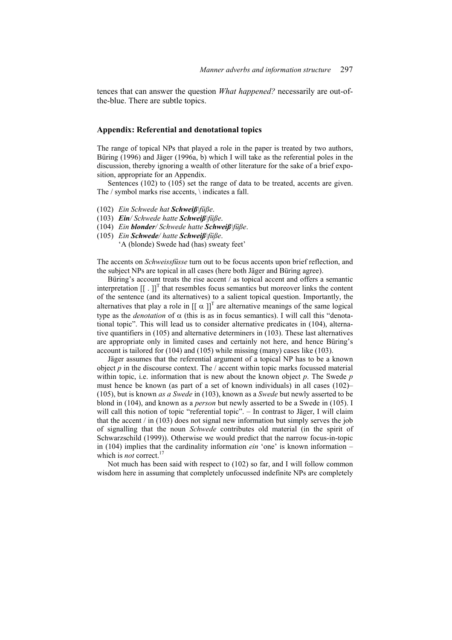tences that can answer the question *What happened?* necessarily are out-ofthe-blue. There are subtle topics.

## **Appendix: Referential and denotational topics**

The range of topical NPs that played a role in the paper is treated by two authors, Büring (1996) and Jäger (1996a, b) which I will take as the referential poles in the discussion, thereby ignoring a wealth of other literature for the sake of a brief exposition, appropriate for an Appendix.

 Sentences (102) to (105) set the range of data to be treated, accents are given. The / symbol marks rise accents, \ indicates a fall.

- (102) *Ein Schwede hat Schweiß\füße*.
- (103) *Ein/ Schwede hatte Schweiß\füße*.
- (104) *Ein blonder/ Schwede hatte Schweiß\füße*.
- (105) *Ein Schwede/ hatte Schweiß\füße*.
	- 'A (blonde) Swede had (has) sweaty feet'

The accents on *Schweissfüsse* turn out to be focus accents upon brief reflection, and the subject NPs are topical in all cases (here both Jäger and Büring agree).

 Büring's account treats the rise accent / as topical accent and offers a semantic interpretation  $[[.]]^T$  that resembles focus semantics but moreover links the content of the sentence (and its alternatives) to a salient topical question. Importantly, the alternatives that play a role in  $\left[\begin{array}{cc} \alpha \\ \end{array}\right]$ <sup>T</sup> are alternative meanings of the same logical type as the *denotation* of α (this is as in focus semantics). I will call this "denotational topic". This will lead us to consider alternative predicates in (104), alternative quantifiers in (105) and alternative determiners in (103). These last alternatives are appropriate only in limited cases and certainly not here, and hence Büring's account is tailored for (104) and (105) while missing (many) cases like (103).

 Jäger assumes that the referential argument of a topical NP has to be a known object *p* in the discourse context. The / accent within topic marks focussed material within topic, i.e. information that is new about the known object *p*. The Swede *p* must hence be known (as part of a set of known individuals) in all cases (102)– (105), but is known *as a Swede* in (103), known as a *Swede* but newly asserted to be blond in (104), and known as a *person* but newly asserted to be a Swede in (105). I will call this notion of topic "referential topic". – In contrast to Jäger, I will claim that the accent  $/$  in (103) does not signal new information but simply serves the job of signalling that the noun *Schwede* contributes old material (in the spirit of Schwarzschild (1999)). Otherwise we would predict that the narrow focus-in-topic in (104) implies that the cardinality information *ein* 'one' is known information – which is *not* correct.<sup>17</sup>

 Not much has been said with respect to (102) so far, and I will follow common wisdom here in assuming that completely unfocussed indefinite NPs are completely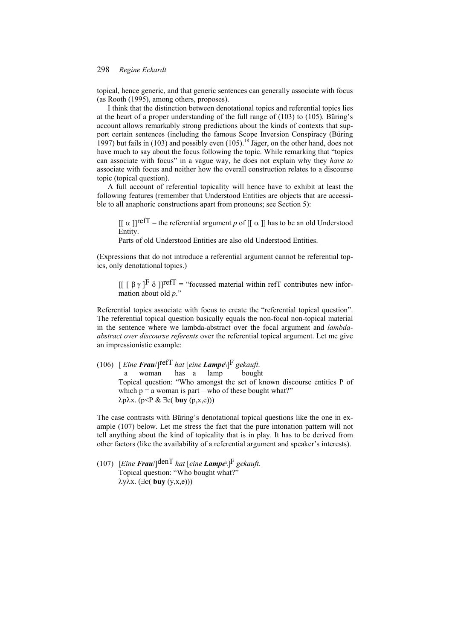topical, hence generic, and that generic sentences can generally associate with focus (as Rooth (1995), among others, proposes).

 I think that the distinction between denotational topics and referential topics lies at the heart of a proper understanding of the full range of (103) to (105). Büring's account allows remarkably strong predictions about the kinds of contexts that support certain sentences (including the famous Scope Inversion Conspiracy (Büring 1997) but fails in (103) and possibly even (105).<sup>18</sup> Jäger, on the other hand, does not have much to say about the focus following the topic. While remarking that "topics can associate with focus" in a vague way, he does not explain why they *have to* associate with focus and neither how the overall construction relates to a discourse topic (topical question).

 A full account of referential topicality will hence have to exhibit at least the following features (remember that Understood Entities are objects that are accessible to all anaphoric constructions apart from pronouns; see Section 5):

 $[(\alpha)]^{\text{ref}}$  = the referential argument *p* of  $[(\alpha)]$  has to be an old Understood Entity.

Parts of old Understood Entities are also old Understood Entities.

(Expressions that do not introduce a referential argument cannot be referential topics, only denotational topics.)

 $[$ [  $[$   $\beta \gamma$  ]<sup>F</sup>  $\delta$  ]]<sup>refT</sup> = "focussed material within refT contributes new information about old *p*."

Referential topics associate with focus to create the "referential topical question". The referential topical question basically equals the non-focal non-topical material in the sentence where we lambda-abstract over the focal argument and *lambdaabstract over discourse referents* over the referential topical argument. Let me give an impressionistic example:

(106)  $\int$  *Eine Frau*/ $\int$ <sup>refT</sup> *hat*  $\int$  *eine Lampe* $\int$ <sup>F</sup> *gekauft.*  a woman has a lamp bought Topical question: "Who amongst the set of known discourse entities P of which  $p = a$  woman is part – who of these bought what?" λpλx. (p<P & ∃e( **buy** (p,x,e)))

The case contrasts with Büring's denotational topical questions like the one in example (107) below. Let me stress the fact that the pure intonation pattern will not tell anything about the kind of topicality that is in play. It has to be derived from other factors (like the availability of a referential argument and speaker's interests).

(107)  $[Line \, \text{Frau} / ]^{\text{den}T}$  *hat*  $[eine \, \text{Lampe}]^{\text{F}}$  gekauft. Topical question: "Who bought what?" λyλx. (∃e( **buy** (y,x,e)))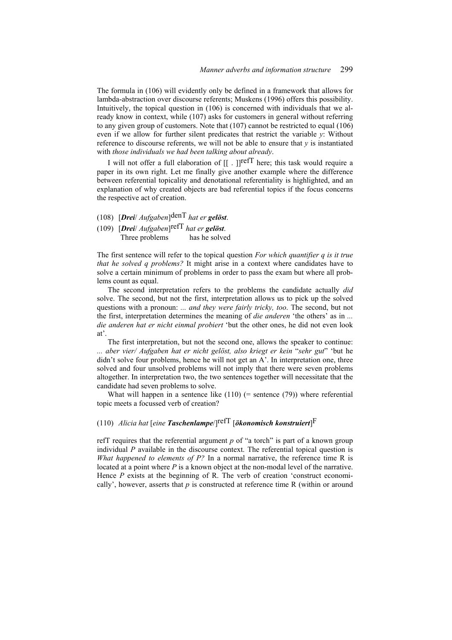The formula in (106) will evidently only be defined in a framework that allows for lambda-abstraction over discourse referents; Muskens (1996) offers this possibility. Intuitively, the topical question in (106) is concerned with individuals that we already know in context, while (107) asks for customers in general without referring to any given group of customers. Note that (107) cannot be restricted to equal (106) even if we allow for further silent predicates that restrict the variable *y*: Without reference to discourse referents, we will not be able to ensure that *y* is instantiated with *those individuals we had been talking about already*.

I will not offer a full elaboration of  $[[.]]^{\text{ref}}$  here; this task would require a paper in its own right. Let me finally give another example where the difference between referential topicality and denotational referentiality is highlighted, and an explanation of why created objects are bad referential topics if the focus concerns the respective act of creation.

(108) [*Drei*/ *Aufgaben*]denT *hat er gelöst*.

(109) [*Drei*/ *Aufgaben*]refT *hat er gelöst*. Three problems has he solved

The first sentence will refer to the topical question *For which quantifier q is it true that he solved q problems?* It might arise in a context where candidates have to solve a certain minimum of problems in order to pass the exam but where all problems count as equal.

 The second interpretation refers to the problems the candidate actually *did* solve. The second, but not the first, interpretation allows us to pick up the solved questions with a pronoun: *... and they were fairly tricky, too*. The second, but not the first, interpretation determines the meaning of *die anderen* 'the others' as in *... die anderen hat er nicht einmal probiert* 'but the other ones, he did not even look at'.

 The first interpretation, but not the second one, allows the speaker to continue: *... aber vier/ Aufgaben hat er nicht gelöst, also kriegt er kein* "*sehr gut*" 'but he didn't solve four problems, hence he will not get an A'. In interpretation one, three solved and four unsolved problems will not imply that there were seven problems altogether. In interpretation two, the two sentences together will necessitate that the candidate had seven problems to solve.

What will happen in a sentence like  $(110)$  (= sentence  $(79)$ ) where referential topic meets a focussed verb of creation?

## (110) *Alicia hat* [*eine Taschenlampe*/ $|{\rm refT}|$  [ $\ddot{\rm o}$ *konomisch konstruiert*]<sup>F</sup>

refT requires that the referential argument *p* of "a torch" is part of a known group individual *P* available in the discourse context. The referential topical question is *What happened to elements of P?* In a normal narrative, the reference time R is located at a point where *P* is a known object at the non-modal level of the narrative. Hence *P* exists at the beginning of R. The verb of creation 'construct economically', however, asserts that  $p$  is constructed at reference time R (within or around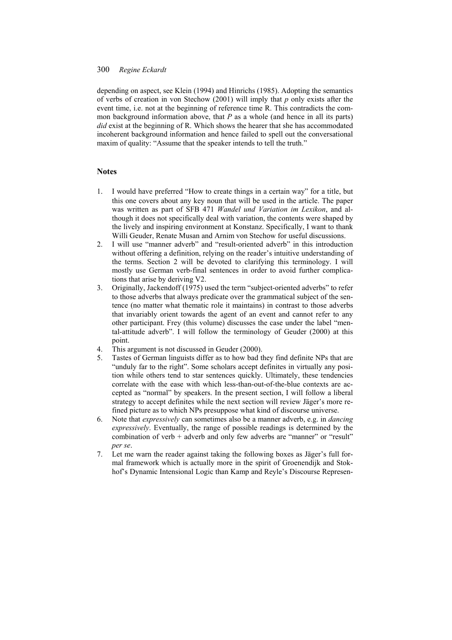depending on aspect, see Klein (1994) and Hinrichs (1985). Adopting the semantics of verbs of creation in von Stechow (2001) will imply that *p* only exists after the event time, i.e. not at the beginning of reference time R. This contradicts the common background information above, that *P* as a whole (and hence in all its parts) *did* exist at the beginning of R. Which shows the hearer that she has accommodated incoherent background information and hence failed to spell out the conversational maxim of quality: "Assume that the speaker intends to tell the truth."

## **Notes**

- 1. I would have preferred "How to create things in a certain way" for a title, but this one covers about any key noun that will be used in the article. The paper was written as part of SFB 471 *Wandel und Variation im Lexikon*, and although it does not specifically deal with variation, the contents were shaped by the lively and inspiring environment at Konstanz. Specifically, I want to thank Willi Geuder, Renate Musan and Arnim von Stechow for useful discussions.
- 2. I will use "manner adverb" and "result-oriented adverb" in this introduction without offering a definition, relying on the reader's intuitive understanding of the terms. Section 2 will be devoted to clarifying this terminology. I will mostly use German verb-final sentences in order to avoid further complications that arise by deriving V2.
- 3. Originally, Jackendoff (1975) used the term "subject-oriented adverbs" to refer to those adverbs that always predicate over the grammatical subject of the sentence (no matter what thematic role it maintains) in contrast to those adverbs that invariably orient towards the agent of an event and cannot refer to any other participant. Frey (this volume) discusses the case under the label "mental-attitude adverb". I will follow the terminology of Geuder (2000) at this point.
- 4. This argument is not discussed in Geuder (2000).
- 5. Tastes of German linguists differ as to how bad they find definite NPs that are "unduly far to the right". Some scholars accept definites in virtually any position while others tend to star sentences quickly. Ultimately, these tendencies correlate with the ease with which less-than-out-of-the-blue contexts are accepted as "normal" by speakers. In the present section, I will follow a liberal strategy to accept definites while the next section will review Jäger's more refined picture as to which NPs presuppose what kind of discourse universe.
- 6. Note that *expressively* can sometimes also be a manner adverb, e.g. in *dancing expressively*. Eventually, the range of possible readings is determined by the combination of verb + adverb and only few adverbs are "manner" or "result" *per se*.
- 7. Let me warn the reader against taking the following boxes as Jäger's full formal framework which is actually more in the spirit of Groenendijk and Stokhof's Dynamic Intensional Logic than Kamp and Reyle's Discourse Represen-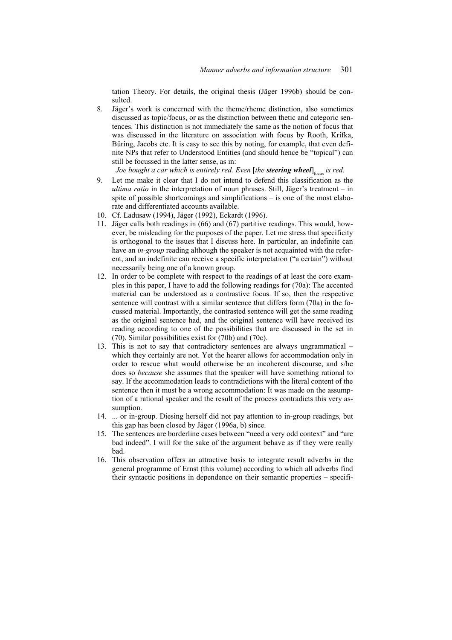tation Theory. For details, the original thesis (Jäger 1996b) should be consulted.

8. Jäger's work is concerned with the theme/rheme distinction, also sometimes discussed as topic/focus, or as the distinction between thetic and categoric sentences. This distinction is not immediately the same as the notion of focus that was discussed in the literature on association with focus by Rooth, Krifka, Büring, Jacobs etc. It is easy to see this by noting, for example, that even definite NPs that refer to Understood Entities (and should hence be "topical") can still be focussed in the latter sense, as in:

*Joe bought a car which is entirely red. Even [the steering wheel]<sub>focus</sub> is red.* 

- 9. Let me make it clear that I do not intend to defend this classification as the *ultima ratio* in the interpretation of noun phrases. Still, Jäger's treatment – in spite of possible shortcomings and simplifications – is one of the most elaborate and differentiated accounts available.
- 10. Cf. Ladusaw (1994), Jäger (1992), Eckardt (1996).
- 11. Jäger calls both readings in (66) and (67) partitive readings. This would, however, be misleading for the purposes of the paper. Let me stress that specificity is orthogonal to the issues that I discuss here. In particular, an indefinite can have an *in-group* reading although the speaker is not acquainted with the referent, and an indefinite can receive a specific interpretation ("a certain") without necessarily being one of a known group.
- 12. In order to be complete with respect to the readings of at least the core examples in this paper, I have to add the following readings for (70a): The accented material can be understood as a contrastive focus. If so, then the respective sentence will contrast with a similar sentence that differs form (70a) in the focussed material. Importantly, the contrasted sentence will get the same reading as the original sentence had, and the original sentence will have received its reading according to one of the possibilities that are discussed in the set in (70). Similar possibilities exist for (70b) and (70c).
- 13. This is not to say that contradictory sentences are always ungrammatical which they certainly are not. Yet the hearer allows for accommodation only in order to rescue what would otherwise be an incoherent discourse, and s/he does so *because* she assumes that the speaker will have something rational to say. If the accommodation leads to contradictions with the literal content of the sentence then it must be a wrong accommodation: It was made on the assumption of a rational speaker and the result of the process contradicts this very assumption.
- 14. ... or in-group. Diesing herself did not pay attention to in-group readings, but this gap has been closed by Jäger (1996a, b) since.
- 15. The sentences are borderline cases between "need a very odd context" and "are bad indeed". I will for the sake of the argument behave as if they were really bad.
- 16. This observation offers an attractive basis to integrate result adverbs in the general programme of Ernst (this volume) according to which all adverbs find their syntactic positions in dependence on their semantic properties – specifi-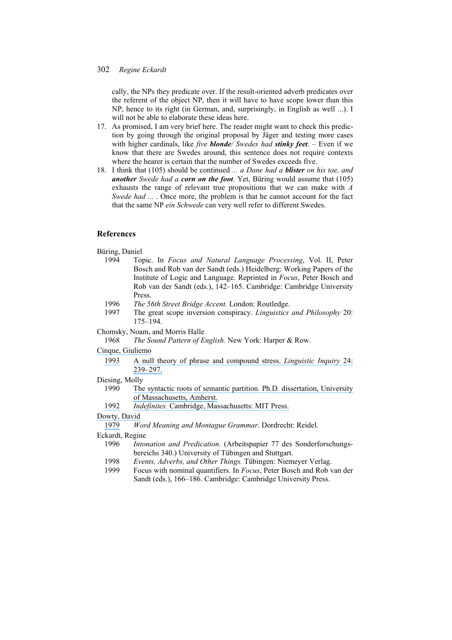cally, the NPs they predicate over. If the result-oriented adverb predicates over the referent of the object NP, then it will have to have scope lower than this NP, hence to its right (in German, and, surprisingly, in English as well ...). I will not be able to elaborate these ideas here.

- 17. As promised, I am very brief here. The reader might want to check this prediction by going through the original proposal by Jäger and testing more cases with higher cardinals, like *five blonde/ Swedes had stinky feet*. – Even if we know that there are Swedes around, this sentence does not require contexts where the hearer is certain that the number of Swedes exceeds five.
- 18. I think that (105) should be continued *... a Dane had a blister on his toe, and another Swede had a corn on the foot*. Yet, Büring would assume that (105) exhausts the range of relevant true propositions that we can make with *A Swede had ...* . Once more, the problem is that he cannot account for the fact that the same NP *ein Schwede* can very well refer to different Swedes.

#### **References**

Büring, Daniel

- 1994 Topic. In *Focus and Natural Language Processing*, Vol. II, Peter Bosch and Rob van der Sandt (eds.) Heidelberg: Working Papers of the Institute of Logic and Language. Reprinted in *Focus*, Peter Bosch and Rob van der Sandt (eds.), 142–165. Cambridge: Cambridge University Press.
- 1996 *The 56th Street Bridge Accent.* London: Routledge.
- 1997 The great scope inversion conspiracy. *Linguistics and Philosophy* 20: 175–194.

Chomsky, Noam, and Morris Halle

1968 *The Sound Pattern of English.* New York: Harper & Row.

#### [Cinque, Giuliemo](https://www.researchgate.net/publication/31521314_A_Null_Theory_of_Phrase_and_Compound_Stress?el=1_x_8&enrichId=rgreq-55d74bae8866092bebe5becb9f09ef52-XXX&enrichSource=Y292ZXJQYWdlOzI2NTI2NDc1MDtBUzoyODEyNTA2MzcwNzQ0MzJAMTQ0NDA2Njc4NTQ1Nw==)

 [1993 A null theory of phrase and compound stress.](https://www.researchgate.net/publication/31521314_A_Null_Theory_of_Phrase_and_Compound_Stress?el=1_x_8&enrichId=rgreq-55d74bae8866092bebe5becb9f09ef52-XXX&enrichSource=Y292ZXJQYWdlOzI2NTI2NDc1MDtBUzoyODEyNTA2MzcwNzQ0MzJAMTQ0NDA2Njc4NTQ1Nw==) *Linguistic Inquiry* 24: [239–297.](https://www.researchgate.net/publication/31521314_A_Null_Theory_of_Phrase_and_Compound_Stress?el=1_x_8&enrichId=rgreq-55d74bae8866092bebe5becb9f09ef52-XXX&enrichSource=Y292ZXJQYWdlOzI2NTI2NDc1MDtBUzoyODEyNTA2MzcwNzQ0MzJAMTQ0NDA2Njc4NTQ1Nw==) 

### Diesing, Molly

- 1990 [The syntactic roots of semantic partition](https://www.researchgate.net/publication/243786626_The_Syntactic_Roots_of_Semantic_Partition?el=1_x_8&enrichId=rgreq-55d74bae8866092bebe5becb9f09ef52-XXX&enrichSource=Y292ZXJQYWdlOzI2NTI2NDc1MDtBUzoyODEyNTA2MzcwNzQ0MzJAMTQ0NDA2Njc4NTQ1Nw==)*.* Ph.D. dissertation, University [of Massachusetts, Amherst.](https://www.researchgate.net/publication/243786626_The_Syntactic_Roots_of_Semantic_Partition?el=1_x_8&enrichId=rgreq-55d74bae8866092bebe5becb9f09ef52-XXX&enrichSource=Y292ZXJQYWdlOzI2NTI2NDc1MDtBUzoyODEyNTA2MzcwNzQ0MzJAMTQ0NDA2Njc4NTQ1Nw==)
- [1992](https://www.researchgate.net/publication/243786626_The_Syntactic_Roots_of_Semantic_Partition?el=1_x_8&enrichId=rgreq-55d74bae8866092bebe5becb9f09ef52-XXX&enrichSource=Y292ZXJQYWdlOzI2NTI2NDc1MDtBUzoyODEyNTA2MzcwNzQ0MzJAMTQ0NDA2Njc4NTQ1Nw==) *Indefinites.* [Cambridge, Massachusetts: MIT Press.](https://www.researchgate.net/publication/243786626_The_Syntactic_Roots_of_Semantic_Partition?el=1_x_8&enrichId=rgreq-55d74bae8866092bebe5becb9f09ef52-XXX&enrichSource=Y292ZXJQYWdlOzI2NTI2NDc1MDtBUzoyODEyNTA2MzcwNzQ0MzJAMTQ0NDA2Njc4NTQ1Nw==)

#### [Dowty, David](https://www.researchgate.net/publication/243786626_The_Syntactic_Roots_of_Semantic_Partition?el=1_x_8&enrichId=rgreq-55d74bae8866092bebe5becb9f09ef52-XXX&enrichSource=Y292ZXJQYWdlOzI2NTI2NDc1MDtBUzoyODEyNTA2MzcwNzQ0MzJAMTQ0NDA2Njc4NTQ1Nw==)

[1979](https://www.researchgate.net/publication/243786626_The_Syntactic_Roots_of_Semantic_Partition?el=1_x_8&enrichId=rgreq-55d74bae8866092bebe5becb9f09ef52-XXX&enrichSource=Y292ZXJQYWdlOzI2NTI2NDc1MDtBUzoyODEyNTA2MzcwNzQ0MzJAMTQ0NDA2Njc4NTQ1Nw==) *Word Meaning and Montague Grammar*. Dordrecht: Reidel.

#### Eckardt, Regine

- 1996 *Intonation and Predication.* (Arbeitspapier 77 des Sonderforschungsbereichs 340.) University of Tübingen and Stuttgart.
- 1998 *Events, Adverbs, and Other Things*. Tübingen: Niemeyer Verlag.<br>1999 Focus with nominal quantifiers. In *Focus*. Peter Bosch and Rob v
- 1999 Focus with nominal quantifiers. In *Focus*, Peter Bosch and Rob van der Sandt (eds.), 166–186. Cambridge: Cambridge University Press.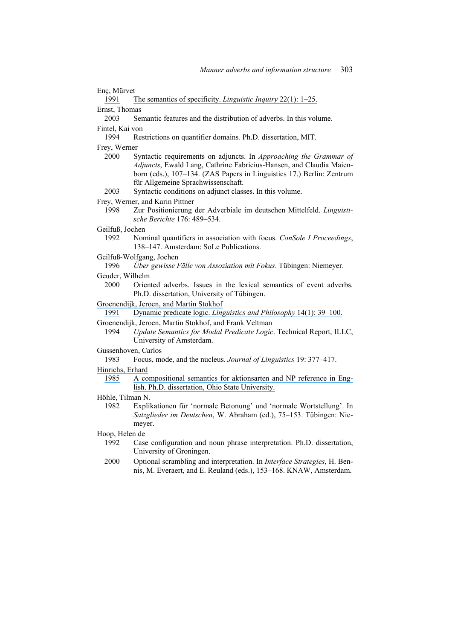[Enç, Mürvet](https://www.researchgate.net/publication/284697448_The_semantics_of_specificity?el=1_x_8&enrichId=rgreq-55d74bae8866092bebe5becb9f09ef52-XXX&enrichSource=Y292ZXJQYWdlOzI2NTI2NDc1MDtBUzoyODEyNTA2MzcwNzQ0MzJAMTQ0NDA2Njc4NTQ1Nw==) 

[1991 The semantics of specificity.](https://www.researchgate.net/publication/284697448_The_semantics_of_specificity?el=1_x_8&enrichId=rgreq-55d74bae8866092bebe5becb9f09ef52-XXX&enrichSource=Y292ZXJQYWdlOzI2NTI2NDc1MDtBUzoyODEyNTA2MzcwNzQ0MzJAMTQ0NDA2Njc4NTQ1Nw==) *Linguistic Inquiry* 22(1): 1–25.

Ernst, Thomas

2003 Semantic features and the distribution of adverbs. In this volume.

Fintel, Kai von

1994 Restrictions on quantifier domains*.* Ph.D. dissertation, MIT.

Frey, Werner

- 2000 Syntactic requirements on adjuncts. In *Approaching the Grammar of Adjuncts*, Ewald Lang, Cathrine Fabricius-Hansen, and Claudia Maienborn (eds.), 107–134. (ZAS Papers in Linguistics 17.) Berlin: Zentrum für Allgemeine Sprachwissenschaft.
- 2003 Syntactic conditions on adjunct classes. In this volume.

#### Frey, Werner, and Karin Pittner

 1998 Zur Positionierung der Adverbiale im deutschen Mittelfeld. *Linguistische Berichte* 176: 489–534.

#### Geilfuß, Jochen

- 1992 Nominal quantifiers in association with focus. *ConSole I Proceedings*, 138–147. Amsterdam: SoLe Publications.
- Geilfuß-Wolfgang, Jochen
- 1996 *Über gewisse Fälle von Assoziation mit Fokus*. Tübingen: Niemeyer.
- Geuder, Wilhelm
	- 2000 Oriented adverbs. Issues in the lexical semantics of event adverbs*.* Ph.D. dissertation, University of Tübingen.

#### [Groenendijk, Jeroen, and Martin Stokhof](https://www.researchgate.net/publication/225230664_Dynamic_Predicate_Logic?el=1_x_8&enrichId=rgreq-55d74bae8866092bebe5becb9f09ef52-XXX&enrichSource=Y292ZXJQYWdlOzI2NTI2NDc1MDtBUzoyODEyNTA2MzcwNzQ0MzJAMTQ0NDA2Njc4NTQ1Nw==)

[1991](https://www.researchgate.net/publication/225230664_Dynamic_Predicate_Logic?el=1_x_8&enrichId=rgreq-55d74bae8866092bebe5becb9f09ef52-XXX&enrichSource=Y292ZXJQYWdlOzI2NTI2NDc1MDtBUzoyODEyNTA2MzcwNzQ0MzJAMTQ0NDA2Njc4NTQ1Nw==) Dynamic predicate logic. *[Linguistics and Philosophy](https://www.researchgate.net/publication/225230664_Dynamic_Predicate_Logic?el=1_x_8&enrichId=rgreq-55d74bae8866092bebe5becb9f09ef52-XXX&enrichSource=Y292ZXJQYWdlOzI2NTI2NDc1MDtBUzoyODEyNTA2MzcwNzQ0MzJAMTQ0NDA2Njc4NTQ1Nw==)* 14(1): 39–100.

Groenendijk, Jeroen, Martin Stokhof, and Frank Veltman

 1994 *Update Semantics for Modal Predicate Logic*. Technical Report, ILLC, University of Amsterdam.

## Gussenhoven, Carlos

1983 Focus, mode, and the nucleus. *Journal of Linguistics* 19: 377–417.

#### [Hinrichs, Erhard](https://www.researchgate.net/publication/243781771_A_Compositional_Semantics_for_Aktionsarten_and_NP_Reference_in_English?el=1_x_8&enrichId=rgreq-55d74bae8866092bebe5becb9f09ef52-XXX&enrichSource=Y292ZXJQYWdlOzI2NTI2NDc1MDtBUzoyODEyNTA2MzcwNzQ0MzJAMTQ0NDA2Njc4NTQ1Nw==)

 [1985 A compositional semantics for aktionsarten and NP reference in Eng](https://www.researchgate.net/publication/243781771_A_Compositional_Semantics_for_Aktionsarten_and_NP_Reference_in_English?el=1_x_8&enrichId=rgreq-55d74bae8866092bebe5becb9f09ef52-XXX&enrichSource=Y292ZXJQYWdlOzI2NTI2NDc1MDtBUzoyODEyNTA2MzcwNzQ0MzJAMTQ0NDA2Njc4NTQ1Nw==)lish. [Ph.D. dissertation, Ohio State University.](https://www.researchgate.net/publication/243781771_A_Compositional_Semantics_for_Aktionsarten_and_NP_Reference_in_English?el=1_x_8&enrichId=rgreq-55d74bae8866092bebe5becb9f09ef52-XXX&enrichSource=Y292ZXJQYWdlOzI2NTI2NDc1MDtBUzoyODEyNTA2MzcwNzQ0MzJAMTQ0NDA2Njc4NTQ1Nw==)

## Höhle, Tilman N.

 1982 Explikationen für 'normale Betonung' und 'normale Wortstellung'. In *Satzglieder im Deutschen*, W. Abraham (ed.), 75–153. Tübingen: Niemeyer.

## Hoop, Helen de

- 1992 Case configuration and noun phrase interpretation. Ph.D. dissertation, University of Groningen.
- 2000 Optional scrambling and interpretation. In *Interface Strategies*, H. Bennis, M. Everaert, and E. Reuland (eds.), 153–168. KNAW, Amsterdam.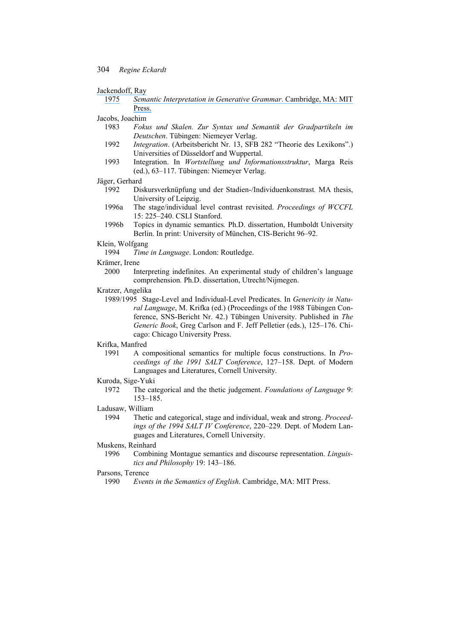[Jackendoff, Ray](https://www.researchgate.net/publication/36962072_Semantic_interpretation_in_generative_grammar?el=1_x_8&enrichId=rgreq-55d74bae8866092bebe5becb9f09ef52-XXX&enrichSource=Y292ZXJQYWdlOzI2NTI2NDc1MDtBUzoyODEyNTA2MzcwNzQ0MzJAMTQ0NDA2Njc4NTQ1Nw==) 

 [1975](https://www.researchgate.net/publication/36962072_Semantic_interpretation_in_generative_grammar?el=1_x_8&enrichId=rgreq-55d74bae8866092bebe5becb9f09ef52-XXX&enrichSource=Y292ZXJQYWdlOzI2NTI2NDc1MDtBUzoyODEyNTA2MzcwNzQ0MzJAMTQ0NDA2Njc4NTQ1Nw==) *[Semantic Interpretation in Generative Grammar](https://www.researchgate.net/publication/36962072_Semantic_interpretation_in_generative_grammar?el=1_x_8&enrichId=rgreq-55d74bae8866092bebe5becb9f09ef52-XXX&enrichSource=Y292ZXJQYWdlOzI2NTI2NDc1MDtBUzoyODEyNTA2MzcwNzQ0MzJAMTQ0NDA2Njc4NTQ1Nw==)*. Cambridge, MA: MIT [Press.](https://www.researchgate.net/publication/36962072_Semantic_interpretation_in_generative_grammar?el=1_x_8&enrichId=rgreq-55d74bae8866092bebe5becb9f09ef52-XXX&enrichSource=Y292ZXJQYWdlOzI2NTI2NDc1MDtBUzoyODEyNTA2MzcwNzQ0MzJAMTQ0NDA2Njc4NTQ1Nw==)

Jacobs, Joachim

- 1983 *Fokus und Skalen. Zur Syntax und Semantik der Gradpartikeln im Deutschen*. Tübingen: Niemeyer Verlag.
- 1992 *Integration*. (Arbeitsbericht Nr. 13, SFB 282 "Theorie des Lexikons".) Universities of Düsseldorf and Wuppertal.
- 1993 Integration. In *Wortstellung und Informationsstruktur*, Marga Reis (ed.), 63–117. Tübingen: Niemeyer Verlag.

#### Jäger, Gerhard

- 1992 Diskursverknüpfung und der Stadien-/Individuenkonstrast*.* MA thesis, University of Leipzig.
- 1996a The stage/individual level contrast revisited. *Proceedings of WCCFL* 15: 225–240. CSLI Stanford.
- 1996b Topics in dynamic semantics*.* Ph.D. dissertation, Humboldt University Berlin. In print: University of München, CIS-Bericht 96–92.

## Klein, Wolfgang

1994 *Time in Language*. London: Routledge.

#### Krämer, Irene

 2000 Interpreting indefinites. An experimental study of children's language comprehension*.* Ph.D. dissertation, Utrecht/Nijmegen.

#### Kratzer, Angelika

 1989/1995 Stage-Level and Individual-Level Predicates. In *Genericity in Natural Language*, M. Krifka (ed.) (Proceedings of the 1988 Tübingen Conference, SNS-Bericht Nr. 42.) Tübingen University. Published in *The Generic Book*, Greg Carlson and F. Jeff Pelletier (eds.), 125–176. Chicago: Chicago University Press.

#### Krifka, Manfred

 1991 A compositional semantics for multiple focus constructions. In *Proceedings of the 1991 SALT Conference*, 127–158. Dept. of Modern Languages and Literatures, Cornell University.

#### Kuroda, Sige-Yuki

 1972 The categorical and the thetic judgement. *Foundations of Language* 9: 153–185.

#### Ladusaw, William

 1994 Thetic and categorical, stage and individual, weak and strong. *Proceedings of the 1994 SALT IV Conference*, 220–229*.* Dept. of Modern Languages and Literatures, Cornell University.

#### Muskens, Reinhard

 1996 Combining Montague semantics and discourse representation. *Linguistics and Philosophy* 19: 143–186.

#### Parsons, Terence

1990 *Events in the Semantics of English*. Cambridge, MA: MIT Press.